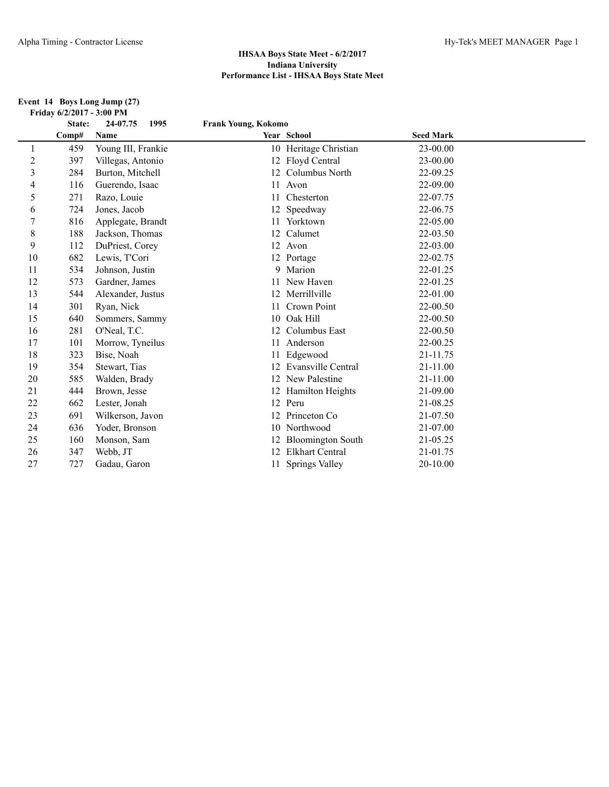#### **Event 14 Boys Long Jump (27) Friday 6/2/2017 - 3:00 PM**

|                | State: | 24-07.75<br>1995   | <b>Frank Young, Kokomo</b> |                           |                  |  |
|----------------|--------|--------------------|----------------------------|---------------------------|------------------|--|
|                | Comp#  | Name               |                            | Year School               | <b>Seed Mark</b> |  |
| 1              | 459    | Young III, Frankie |                            | 10 Heritage Christian     | 23-00.00         |  |
| $\overline{c}$ | 397    | Villegas, Antonio  |                            | 12 Floyd Central          | 23-00.00         |  |
| 3              | 284    | Burton, Mitchell   |                            | 12 Columbus North         | 22-09.25         |  |
| 4              | 116    | Guerendo, Isaac    |                            | 11 Avon                   | 22-09.00         |  |
| 5              | 271    | Razo, Louie        | 11                         | Chesterton                | 22-07.75         |  |
| 6              | 724    | Jones, Jacob       |                            | 12 Speedway               | 22-06.75         |  |
| $\overline{7}$ | 816    | Applegate, Brandt  |                            | 11 Yorktown               | 22-05.00         |  |
| $\,$ 8 $\,$    | 188    | Jackson, Thomas    |                            | 12 Calumet                | 22-03.50         |  |
| 9              | 112    | DuPriest, Corey    |                            | 12 Avon                   | 22-03.00         |  |
| 10             | 682    | Lewis, T'Cori      |                            | 12 Portage                | 22-02.75         |  |
| 11             | 534    | Johnson, Justin    |                            | 9 Marion                  | 22-01.25         |  |
| 12             | 573    | Gardner, James     |                            | 11 New Haven              | 22-01.25         |  |
| 13             | 544    | Alexander, Justus  |                            | 12 Merrillville           | 22-01.00         |  |
| 14             | 301    | Ryan, Nick         | 11                         | Crown Point               | 22-00.50         |  |
| 15             | 640    | Sommers, Sammy     | 10                         | Oak Hill                  | 22-00.50         |  |
| 16             | 281    | O'Neal, T.C.       |                            | 12 Columbus East          | 22-00.50         |  |
| 17             | 101    | Morrow, Tyneilus   | 11                         | Anderson                  | 22-00.25         |  |
| 18             | 323    | Bise, Noah         |                            | Edgewood                  | 21-11.75         |  |
| 19             | 354    | Stewart, Tias      | 12                         | <b>Evansville Central</b> | 21-11.00         |  |
| 20             | 585    | Walden, Brady      |                            | 12 New Palestine          | $21 - 11.00$     |  |
| 21             | 444    | Brown, Jesse       |                            | 12 Hamilton Heights       | 21-09.00         |  |
| 22             | 662    | Lester, Jonah      |                            | 12 Peru                   | 21-08.25         |  |
| 23             | 691    | Wilkerson, Javon   |                            | 12 Princeton Co           | 21-07.50         |  |
| 24             | 636    | Yoder, Bronson     |                            | 10 Northwood              | 21-07.00         |  |
| 25             | 160    | Monson, Sam        | 12                         | <b>Bloomington South</b>  | 21-05.25         |  |
| 26             | 347    | Webb, JT           | 12                         | <b>Elkhart Central</b>    | 21-01.75         |  |
| 27             | 727    | Gadau, Garon       |                            | <b>Springs Valley</b>     | 20-10.00         |  |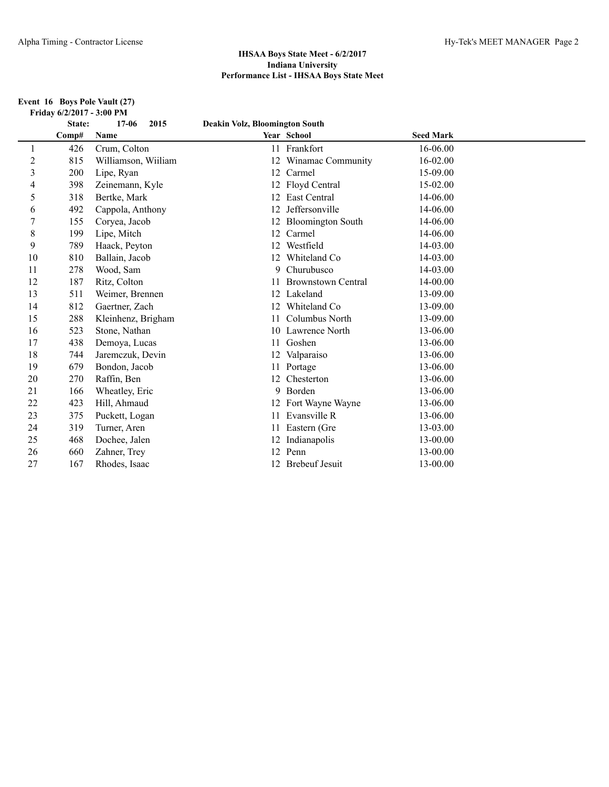#### **Event 16 Boys Pole Vault (27) Friday 6/2/2017 - 3:00 PM**

|                | State: | $17 - 06$<br>2015   | Deakin Volz, Bloomington South |                           |                  |  |
|----------------|--------|---------------------|--------------------------------|---------------------------|------------------|--|
|                | Comp#  | Name                |                                | Year School               | <b>Seed Mark</b> |  |
|                | 426    | Crum, Colton        | 11                             | Frankfort                 | 16-06.00         |  |
| $\overline{c}$ | 815    | Williamson, Wiiliam | 12                             | Winamac Community         | 16-02.00         |  |
| 3              | 200    | Lipe, Ryan          |                                | 12 Carmel                 | 15-09.00         |  |
| $\overline{4}$ | 398    | Zeinemann, Kyle     |                                | 12 Floyd Central          | $15-02.00$       |  |
| 5              | 318    | Bertke, Mark        | 12                             | East Central              | 14-06.00         |  |
| 6              | 492    | Cappola, Anthony    | 12                             | Jeffersonville            | 14-06.00         |  |
| 7              | 155    | Coryea, Jacob       | 12                             | <b>Bloomington South</b>  | 14-06.00         |  |
| 8              | 199    | Lipe, Mitch         |                                | 12 Carmel                 | 14-06.00         |  |
| 9              | 789    | Haack, Peyton       | 12                             | Westfield                 | 14-03.00         |  |
| 10             | 810    | Ballain, Jacob      | 12                             | Whiteland Co              | 14-03.00         |  |
| 11             | 278    | Wood, Sam           | 9                              | Churubusco                | 14-03.00         |  |
| 12             | 187    | Ritz, Colton        | 11                             | <b>Brownstown Central</b> | 14-00.00         |  |
| 13             | 511    | Weimer, Brennen     |                                | 12 Lakeland               | 13-09.00         |  |
| 14             | 812    | Gaertner, Zach      | 12                             | Whiteland Co.             | 13-09.00         |  |
| 15             | 288    | Kleinhenz, Brigham  | 11                             | Columbus North            | 13-09.00         |  |
| 16             | 523    | Stone, Nathan       |                                | 10 Lawrence North         | 13-06.00         |  |
| 17             | 438    | Demoya, Lucas       |                                | 11 Goshen                 | 13-06.00         |  |
| 18             | 744    | Jaremczuk, Devin    |                                | 12 Valparaiso             | 13-06.00         |  |
| 19             | 679    | Bondon, Jacob       |                                | 11 Portage                | 13-06.00         |  |
| 20             | 270    | Raffin, Ben         |                                | 12 Chesterton             | 13-06.00         |  |
| 21             | 166    | Wheatley, Eric      | 9                              | Borden                    | 13-06.00         |  |
| 22             | 423    | Hill, Ahmaud        |                                | 12 Fort Wayne Wayne       | 13-06.00         |  |
| 23             | 375    | Puckett, Logan      | 11                             | Evansville R              | 13-06.00         |  |
| 24             | 319    | Turner, Aren        | 11                             | Eastern (Gre              | 13-03.00         |  |
| 25             | 468    | Dochee, Jalen       | 12                             | Indianapolis              | 13-00.00         |  |
| 26             | 660    | Zahner, Trey        |                                | 12 Penn                   | 13-00.00         |  |
| 27             | 167    | Rhodes, Isaac       |                                | 12 Brebeuf Jesuit         | 13-00.00         |  |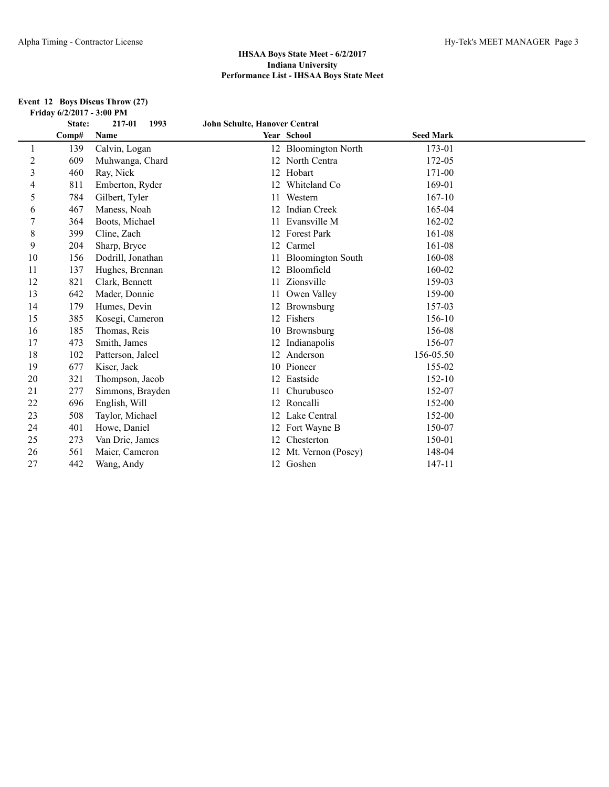#### **Event 12 Boys Discus Throw (27) Friday 6/2/2017 - 3:00 PM**

|    | State: | 217-01<br>1993    | John Schulte, Hanover Central |                          |                  |  |
|----|--------|-------------------|-------------------------------|--------------------------|------------------|--|
|    | Comp#  | Name              |                               | Year School              | <b>Seed Mark</b> |  |
| 1  | 139    | Calvin, Logan     |                               | 12 Bloomington North     | 173-01           |  |
| 2  | 609    | Muhwanga, Chard   |                               | 12 North Centra          | 172-05           |  |
| 3  | 460    | Ray, Nick         |                               | 12 Hobart                | 171-00           |  |
| 4  | 811    | Emberton, Ryder   | 12                            | Whiteland Co             | 169-01           |  |
| 5  | 784    | Gilbert, Tyler    | 11                            | Western                  | $167 - 10$       |  |
| 6  | 467    | Maness, Noah      |                               | 12 Indian Creek          | 165-04           |  |
| 7  | 364    | Boots, Michael    |                               | Evansville M             | 162-02           |  |
| 8  | 399    | Cline, Zach       |                               | 12 Forest Park           | 161-08           |  |
| 9  | 204    | Sharp, Bryce      | 12                            | Carmel                   | 161-08           |  |
| 10 | 156    | Dodrill, Jonathan | 11                            | <b>Bloomington South</b> | 160-08           |  |
| 11 | 137    | Hughes, Brennan   | 12                            | Bloomfield               | 160-02           |  |
| 12 | 821    | Clark, Bennett    |                               | Zionsville               | 159-03           |  |
| 13 | 642    | Mader, Donnie     |                               | Owen Valley              | 159-00           |  |
| 14 | 179    | Humes, Devin      |                               | Brownsburg               | 157-03           |  |
| 15 | 385    | Kosegi, Cameron   |                               | 12 Fishers               | 156-10           |  |
| 16 | 185    | Thomas, Reis      |                               | 10 Brownsburg            | 156-08           |  |
| 17 | 473    | Smith, James      |                               | 12 Indianapolis          | 156-07           |  |
| 18 | 102    | Patterson, Jaleel |                               | 12 Anderson              | 156-05.50        |  |
| 19 | 677    | Kiser, Jack       |                               | 10 Pioneer               | 155-02           |  |
| 20 | 321    | Thompson, Jacob   | 12                            | Eastside                 | 152-10           |  |
| 21 | 277    | Simmons, Brayden  |                               | Churubusco               | 152-07           |  |
| 22 | 696    | English, Will     |                               | 12 Roncalli              | 152-00           |  |
| 23 | 508    | Taylor, Michael   |                               | 12 Lake Central          | 152-00           |  |
| 24 | 401    | Howe, Daniel      |                               | 12 Fort Wayne B          | 150-07           |  |
| 25 | 273    | Van Drie, James   | 12                            | Chesterton               | 150-01           |  |
| 26 | 561    | Maier, Cameron    | 12                            | Mt. Vernon (Posey)       | 148-04           |  |
| 27 | 442    | Wang, Andy        |                               | 12 Goshen                | 147-11           |  |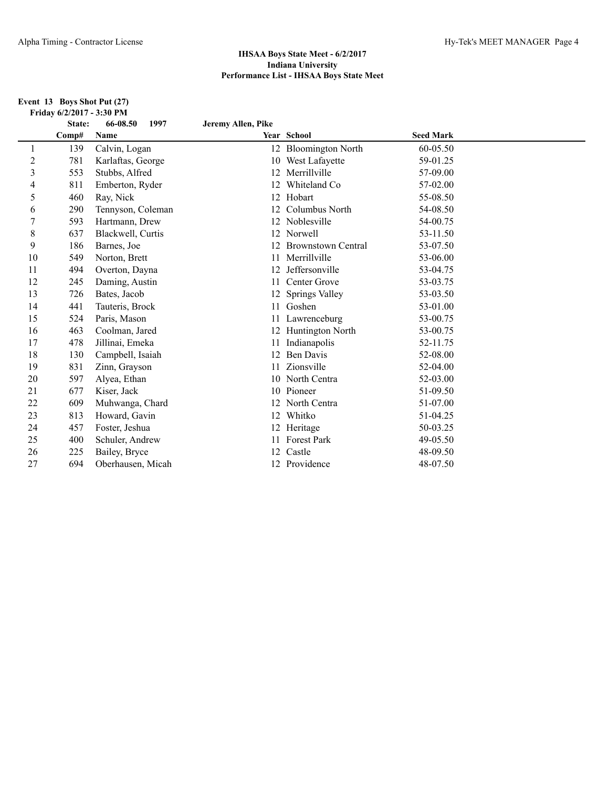#### **Event 13 Boys Shot Put (27) Friday 6/2/2017 - 3:30 PM**

|                | State: | 66-08.50<br>1997  | Jeremy Allen, Pike |                           |                  |  |
|----------------|--------|-------------------|--------------------|---------------------------|------------------|--|
|                | Comp#  | Name              |                    | Year School               | <b>Seed Mark</b> |  |
| 1              | 139    | Calvin, Logan     |                    | 12 Bloomington North      | 60-05.50         |  |
| $\overline{c}$ | 781    | Karlaftas, George |                    | 10 West Lafayette         | 59-01.25         |  |
| $\mathfrak{Z}$ | 553    | Stubbs, Alfred    |                    | 12 Merrillville           | 57-09.00         |  |
| 4              | 811    | Emberton, Ryder   | 12                 | Whiteland Co              | 57-02.00         |  |
| 5              | 460    | Ray, Nick         | 12                 | Hobart                    | 55-08.50         |  |
| 6              | 290    | Tennyson, Coleman | 12                 | Columbus North            | 54-08.50         |  |
| $\overline{7}$ | 593    | Hartmann, Drew    |                    | 12 Noblesville            | 54-00.75         |  |
| 8              | 637    | Blackwell, Curtis |                    | 12 Norwell                | 53-11.50         |  |
| 9              | 186    | Barnes, Joe       | 12                 | <b>Brownstown Central</b> | 53-07.50         |  |
| 10             | 549    | Norton, Brett     | 11                 | Merrillville              | 53-06.00         |  |
| 11             | 494    | Overton, Dayna    |                    | Jeffersonville            | 53-04.75         |  |
| 12             | 245    | Daming, Austin    | 11                 | Center Grove              | 53-03.75         |  |
| 13             | 726    | Bates, Jacob      | 12                 | Springs Valley            | 53-03.50         |  |
| 14             | 441    | Tauteris, Brock   | 11                 | Goshen                    | 53-01.00         |  |
| 15             | 524    | Paris, Mason      |                    | Lawrenceburg              | 53-00.75         |  |
| 16             | 463    | Coolman, Jared    |                    | Huntington North          | 53-00.75         |  |
| 17             | 478    | Jillinai, Emeka   | 11                 | Indianapolis              | 52-11.75         |  |
| 18             | 130    | Campbell, Isaiah  | 12                 | <b>Ben Davis</b>          | 52-08.00         |  |
| 19             | 831    | Zinn, Grayson     | 11                 | Zionsville                | 52-04.00         |  |
| 20             | 597    | Alyea, Ethan      |                    | 10 North Centra           | 52-03.00         |  |
| 21             | 677    | Kiser, Jack       |                    | 10 Pioneer                | 51-09.50         |  |
| 22             | 609    | Muhwanga, Chard   |                    | 12 North Centra           | 51-07.00         |  |
| 23             | 813    | Howard, Gavin     |                    | 12 Whitko                 | 51-04.25         |  |
| 24             | 457    | Foster, Jeshua    |                    | 12 Heritage               | 50-03.25         |  |
| 25             | 400    | Schuler, Andrew   |                    | <b>Forest Park</b>        | 49-05.50         |  |
| 26             | 225    | Bailey, Bryce     | 12                 | Castle                    | 48-09.50         |  |
| 27             | 694    | Oberhausen, Micah |                    | 12 Providence             | 48-07.50         |  |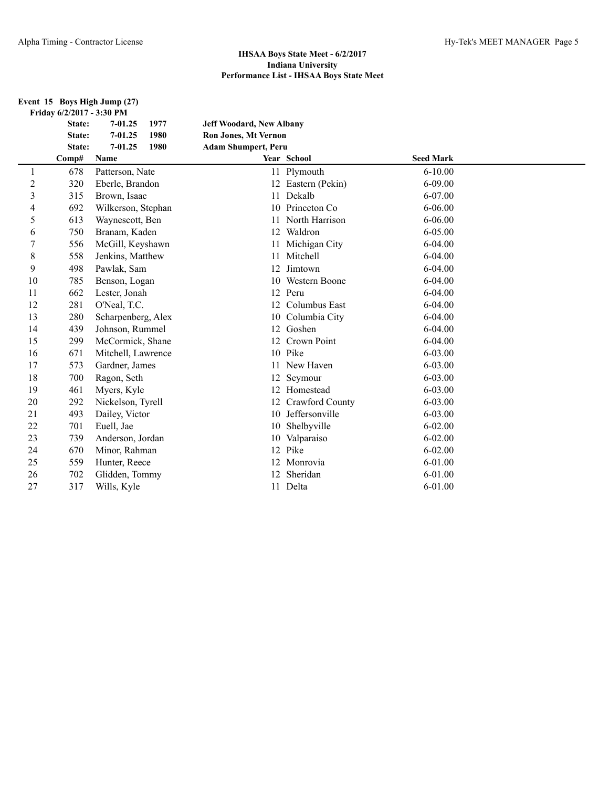#### **Event 15 Boys High Jump (27) Friday 6/2/2017 - 3:30 PM**

|                | State: | $7 - 01.25$<br>1977 | <b>Jeff Woodard, New Albany</b> |                    |                  |  |
|----------------|--------|---------------------|---------------------------------|--------------------|------------------|--|
|                | State: | $7 - 01.25$<br>1980 | <b>Ron Jones, Mt Vernon</b>     |                    |                  |  |
|                | State: | $7 - 01.25$<br>1980 | <b>Adam Shumpert, Peru</b>      |                    |                  |  |
|                | Comp#  | Name                |                                 | Year School        | <b>Seed Mark</b> |  |
| 1              | 678    | Patterson, Nate     |                                 | 11 Plymouth        | $6 - 10.00$      |  |
| $\overline{c}$ | 320    | Eberle, Brandon     |                                 | 12 Eastern (Pekin) | $6 - 09.00$      |  |
| 3              | 315    | Brown, Isaac        | 11                              | Dekalb             | 6-07.00          |  |
| 4              | 692    | Wilkerson, Stephan  |                                 | 10 Princeton Co    | $6 - 06.00$      |  |
| 5              | 613    | Waynescott, Ben     | 11                              | North Harrison     | $6 - 06.00$      |  |
| 6              | 750    | Branam, Kaden       |                                 | 12 Waldron         | 6-05.00          |  |
| 7              | 556    | McGill, Keyshawn    | 11                              | Michigan City      | 6-04.00          |  |
| 8              | 558    | Jenkins, Matthew    | 11                              | Mitchell           | $6 - 04.00$      |  |
| 9              | 498    | Pawlak, Sam         | 12                              | Jimtown            | $6-04.00$        |  |
| 10             | 785    | Benson, Logan       | 10 <sup>1</sup>                 | Western Boone      | $6 - 04.00$      |  |
| 11             | 662    | Lester, Jonah       | 12                              | Peru               | $6 - 04.00$      |  |
| 12             | 281    | O'Neal, T.C.        |                                 | 12 Columbus East   | $6 - 04.00$      |  |
| 13             | 280    | Scharpenberg, Alex  |                                 | 10 Columbia City   | 6-04.00          |  |
| 14             | 439    | Johnson, Rummel     |                                 | 12 Goshen          | $6 - 04.00$      |  |
| 15             | 299    | McCormick, Shane    |                                 | 12 Crown Point     | $6 - 04.00$      |  |
| 16             | 671    | Mitchell, Lawrence  |                                 | 10 Pike            | $6 - 03.00$      |  |
| 17             | 573    | Gardner, James      | 11                              | New Haven          | $6 - 03.00$      |  |
| 18             | 700    | Ragon, Seth         | 12                              | Seymour            | $6 - 03.00$      |  |
| 19             | 461    | Myers, Kyle         |                                 | 12 Homestead       | $6 - 03.00$      |  |
| 20             | 292    | Nickelson, Tyrell   | 12                              | Crawford County    | 6-03.00          |  |
| 21             | 493    | Dailey, Victor      | 10                              | Jeffersonville     | $6 - 03.00$      |  |
| 22             | 701    | Euell, Jae          | 10                              | Shelbyville        | $6 - 02.00$      |  |
| 23             | 739    | Anderson, Jordan    |                                 | 10 Valparaiso      | $6 - 02.00$      |  |
| 24             | 670    | Minor, Rahman       |                                 | 12 Pike            | $6 - 02.00$      |  |
| 25             | 559    | Hunter, Reece       |                                 | 12 Monrovia        | 6-01.00          |  |
| 26             | 702    | Glidden, Tommy      | 12                              | Sheridan           | $6 - 01.00$      |  |
| 27             | 317    | Wills, Kyle         |                                 | 11 Delta           | $6 - 01.00$      |  |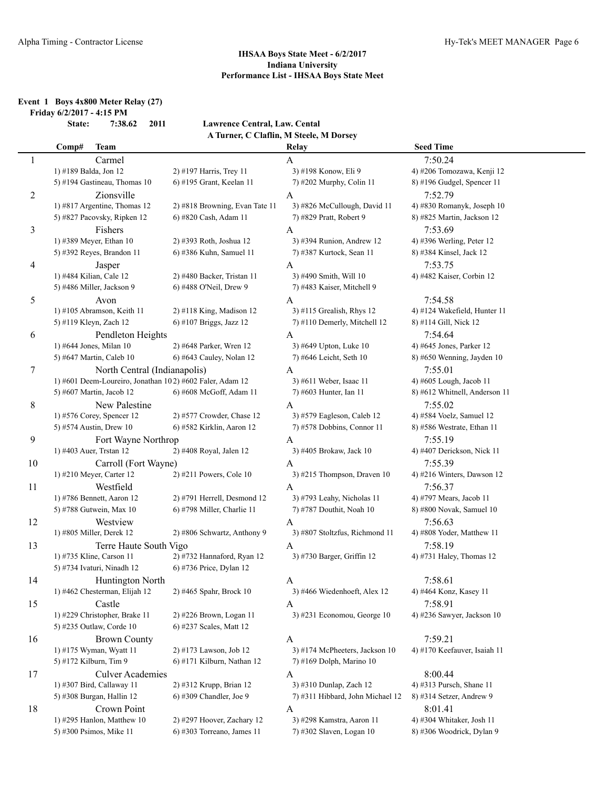#### **Event 1 Boys 4x800 Meter Relay (27) Friday 6/2/2017 - 4:15 PM**

**State: 7:38.62 2011 Lawrence Central, Law. Cental A Turner, C Claflin, M Steele, M Dorsey**

|    | Comp#<br><b>Team</b>                                     |                                | Relay                            | <b>Seed Time</b>                     |
|----|----------------------------------------------------------|--------------------------------|----------------------------------|--------------------------------------|
| 1  | Carmel                                                   |                                | A                                | 7:50.24                              |
|    | 1) #189 Balda, Jon 12                                    | 2) #197 Harris, Trey 11        | 3) #198 Konow, Eli 9             | 4) #206 Tomozawa, Kenji 12           |
|    | 5) #194 Gastineau, Thomas 10                             | 6) #195 Grant, Keelan 11       | 7) #202 Murphy, Colin 11         | 8) #196 Gudgel, Spencer 11           |
| 2  | Zionsville                                               |                                | A                                | 7:52.79                              |
|    | 1) #817 Argentine, Thomas 12                             | 2) #818 Browning, Evan Tate 11 | 3) #826 McCullough, David 11     | 4) #830 Romanyk, Joseph 10           |
|    | 5) #827 Pacovsky, Ripken 12                              | 6) #820 Cash, Adam 11          | 7) #829 Pratt, Robert 9          | 8) #825 Martin, Jackson 12           |
| 3  | Fishers                                                  |                                | A                                | 7:53.69                              |
|    | 1) #389 Meyer, Ethan 10                                  | 2) #393 Roth, Joshua 12        | 3) #394 Runion, Andrew 12        | 4) #396 Werling, Peter 12            |
|    | 5) #392 Reyes, Brandon 11                                | 6) #386 Kuhn, Samuel 11        | 7) #387 Kurtock, Sean 11         | 8) #384 Kinsel, Jack 12              |
|    |                                                          |                                |                                  |                                      |
| 4  | Jasper                                                   |                                | A                                | 7:53.75                              |
|    | 1) #484 Kilian, Cale 12                                  | 2) #480 Backer, Tristan 11     | 3) #490 Smith, Will 10           | 4) #482 Kaiser, Corbin 12            |
|    | 5) #486 Miller, Jackson 9                                | 6) #488 O'Neil, Drew 9         | 7) #483 Kaiser, Mitchell 9       |                                      |
| 5  | Avon                                                     |                                | A                                | 7:54.58                              |
|    | 1) #105 Abramson, Keith 11                               | 2) #118 King, Madison 12       | 3) #115 Grealish, Rhys 12        | 4) #124 Wakefield, Hunter 11         |
|    | 5) #119 Kleyn, Zach 12                                   | 6) #107 Briggs, Jazz 12        | 7) #110 Demerly, Mitchell 12     | 8) #114 Gill, Nick 12                |
| 6  | Pendleton Heights                                        |                                | A                                | 7:54.64                              |
|    | 1) #644 Jones, Milan 10                                  | 2) #648 Parker, Wren 12        | 3) #649 Upton, Luke 10           | 4) #645 Jones, Parker 12             |
|    | 5) #647 Martin, Caleb 10                                 | 6) #643 Cauley, Nolan 12       | 7) #646 Leicht, Seth 10          | 8) #650 Wenning, Jayden 10           |
| 7  | North Central (Indianapolis)                             |                                | A                                | 7:55.01                              |
|    | 1) #601 Deem-Loureiro, Jonathan 102) #602 Faler, Adam 12 |                                | 3) #611 Weber, Isaac 11          | 4) #605 Lough, Jacob 11              |
|    | 5) #607 Martin, Jacob 12                                 | 6) #608 McGoff, Adam 11        | 7) #603 Hunter, Ian 11           | 8) #612 Whitnell, Anderson 11        |
| 8  | New Palestine                                            |                                | A                                | 7:55.02                              |
|    | 1) #576 Corey, Spencer 12                                | 2) #577 Crowder, Chase 12      | 3) #579 Eagleson, Caleb 12       | 4) #584 Voelz, Samuel 12             |
|    | 5) #574 Austin, Drew 10                                  | 6) #582 Kirklin, Aaron 12      | 7) #578 Dobbins, Connor 11       | 8) #586 Westrate, Ethan 11           |
| 9  | Fort Wayne Northrop                                      |                                | A                                | 7:55.19                              |
|    | 1) #403 Auer, Trstan 12                                  | 2) #408 Royal, Jalen 12        | 3) #405 Brokaw, Jack 10          | 4) #407 Derickson, Nick 11           |
| 10 | Carroll (Fort Wayne)                                     |                                | A                                | 7:55.39                              |
|    | 1) #210 Meyer, Carter 12                                 | 2) #211 Powers, Cole 10        | 3) #215 Thompson, Draven 10      | 4) #216 Winters, Dawson $12$         |
| 11 | Westfield                                                |                                | $\mathbf{A}$                     | 7:56.37                              |
|    | 1) #786 Bennett, Aaron 12                                | 2) #791 Herrell, Desmond 12    | 3) #793 Leahy, Nicholas 11       | 4) #797 Mears, Jacob 11              |
|    | 5) #788 Gutwein, Max 10                                  | 6) #798 Miller, Charlie 11     | 7) #787 Douthit, Noah 10         | 8) #800 Novak, Samuel 10             |
| 12 | Westview                                                 |                                | A                                | 7:56.63                              |
|    | 1) #805 Miller, Derek 12                                 | 2) #806 Schwartz, Anthony 9    | 3) #807 Stoltzfus, Richmond 11   | 4) #808 Yoder, Matthew 11            |
| 13 | Terre Haute South Vigo                                   |                                | A                                | 7:58.19                              |
|    | 1) #735 Kline, Carson 11                                 | 2) #732 Hannaford, Ryan 12     | 3) #730 Barger, Griffin 12       | 4) #731 Haley, Thomas 12             |
|    | 5) #734 Ivaturi, Ninadh 12                               | 6) #736 Price, Dylan 12        |                                  |                                      |
| 14 | Huntington North                                         |                                | A                                | 7:58.61                              |
|    | 1) #462 Chesterman, Elijah 12                            | 2) #465 Spahr, Brock 10        | 3) #466 Wiedenhoeft, Alex 12     | 4) #464 Konz, Kasey 11               |
| 15 | Castle                                                   |                                | A                                | 7:58.91                              |
|    | 1) #229 Christopher, Brake 11                            | 2) #226 Brown, Logan 11        | $3)$ #231 Economou, George 10    | 4) #236 Sawyer, Jackson 10           |
|    | 5) #235 Outlaw, Corde 10                                 | 6) #237 Scales, Matt 12        |                                  |                                      |
| 16 | <b>Brown County</b>                                      |                                | A                                | 7:59.21                              |
|    | 1) #175 Wyman, Wyatt 11                                  | 2) #173 Lawson, Job 12         | 3) #174 McPheeters, Jackson 10   | 4) #170 Keefauver, Isaiah 11         |
|    | 5) #172 Kilburn, Tim 9                                   | 6) #171 Kilburn, Nathan 12     | 7) #169 Dolph, Marino 10         |                                      |
| 17 | <b>Culver Academies</b>                                  |                                |                                  | 8:00.44                              |
|    | 1) #307 Bird, Callaway 11                                | 2) #312 Krupp, Brian 12        | A<br>3) #310 Dunlap, Zach 12     | 4) #313 Pursch, Shane 11             |
|    | 5) #308 Burgan, Hallin 12                                | 6) #309 Chandler, Joe 9        | 7) #311 Hibbard, John Michael 12 | $8)$ #314 Setzer, Andrew 9           |
|    |                                                          |                                |                                  |                                      |
| 18 | Crown Point<br>1) #295 Hanlon, Matthew 10                | 2) #297 Hoover, Zachary 12     | A<br>3) #298 Kamstra, Aaron 11   | 8:01.41<br>4) #304 Whitaker, Josh 11 |
|    | 5) #300 Psimos, Mike 11                                  | $6$ ) #303 Torreano, James 11  | 7) #302 Slaven, Logan 10         | 8) #306 Woodrick, Dylan 9            |
|    |                                                          |                                |                                  |                                      |
|    |                                                          |                                |                                  |                                      |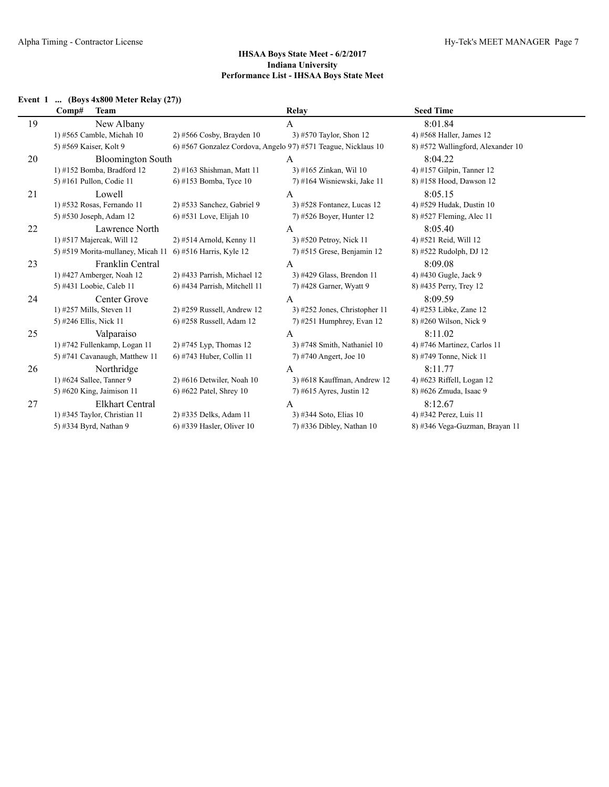## **Event 1 ... (Boys 4x800 Meter Relay (27))**

|    | Comp#<br><b>Team</b>                                      |                                                               | Relay                         | <b>Seed Time</b>                  |
|----|-----------------------------------------------------------|---------------------------------------------------------------|-------------------------------|-----------------------------------|
| 19 | New Albany                                                |                                                               | A                             | 8:01.84                           |
|    | 1) #565 Camble, Michah 10                                 | $2)$ #566 Cosby, Brayden 10                                   | 3) #570 Taylor, Shon 12       | 4) #568 Haller, James 12          |
|    | 5) #569 Kaiser, Kolt 9                                    | 6) #567 Gonzalez Cordova, Angelo 97) #571 Teague, Nicklaus 10 |                               | 8) #572 Wallingford, Alexander 10 |
| 20 | <b>Bloomington South</b>                                  |                                                               | A                             | 8:04.22                           |
|    | 1) #152 Bomba, Bradford 12                                | 2) #163 Shishman, Matt 11                                     | 3) #165 Zinkan, Wil 10        | 4) #157 Gilpin, Tanner 12         |
|    | 5) #161 Pullon, Codie 11                                  | 6) #153 Bomba, Tyce 10                                        | 7) #164 Wisniewski, Jake 11   | 8) #158 Hood, Dawson 12           |
| 21 | Lowell                                                    |                                                               | A                             | 8:05.15                           |
|    | 1) #532 Rosas, Fernando 11                                | 2) #533 Sanchez, Gabriel 9                                    | $3)$ #528 Fontanez, Lucas 12  | 4) #529 Hudak, Dustin 10          |
|    | 5) #530 Joseph, Adam 12                                   | 6) #531 Love, Elijah 10                                       | 7) #526 Boyer, Hunter 12      | 8) #527 Fleming, Alec 11          |
| 22 | Lawrence North                                            |                                                               | A                             | 8:05.40                           |
|    | 1) #517 Majercak, Will 12                                 | 2) #514 Arnold, Kenny 11                                      | 3) #520 Petroy, Nick 11       | 4) #521 Reid, Will 12             |
|    | 5) #519 Morita-mullaney, Micah 11 6) #516 Harris, Kyle 12 |                                                               | $(7)$ #515 Grese, Benjamin 12 | 8) #522 Rudolph, DJ 12            |
| 23 | Franklin Central                                          |                                                               | A                             | 8:09.08                           |
|    | 1) $\#427$ Amberger, Noah 12                              | 2) #433 Parrish, Michael 12                                   | 3) #429 Glass, Brendon 11     | 4) #430 Gugle, Jack 9             |
|    | 5) #431 Loobie, Caleb 11                                  | 6) #434 Parrish, Mitchell 11                                  | 7) #428 Garner, Wyatt 9       | 8) #435 Perry, Trey 12            |
| 24 | Center Grove                                              |                                                               | A                             | 8:09.59                           |
|    | 1) $\#257$ Mills, Steven 11                               | 2) #259 Russell, Andrew 12                                    | 3) #252 Jones, Christopher 11 | 4) #253 Libke, Zane 12            |
|    | 5) #246 Ellis, Nick 11                                    | 6) #258 Russell, Adam 12                                      | $(7)$ #251 Humphrey, Evan 12  | 8) #260 Wilson, Nick 9            |
| 25 | Valparaiso                                                |                                                               | A                             | 8:11.02                           |
|    | 1) #742 Fullenkamp, Logan 11                              | 2) #745 Lyp, Thomas $12$                                      | 3) #748 Smith, Nathaniel 10   | 4) #746 Martinez, Carlos 11       |
|    | 5) #741 Cavanaugh, Matthew 11                             | 6) #743 Huber, Collin 11                                      | 7) #740 Angert, Joe 10        | 8) #749 Tonne, Nick 11            |
| 26 | Northridge                                                |                                                               | A                             | 8:11.77                           |
|    | 1) #624 Sallee, Tanner 9                                  | $2)$ #616 Detwiler, Noah 10                                   | 3) #618 Kauffman, Andrew 12   | 4) #623 Riffell, Logan 12         |
|    | 5) #620 King, Jaimison 11                                 | 6) #622 Patel, Shrey 10                                       | 7) #615 Ayres, Justin 12      | 8) #626 Zmuda, Isaac 9            |
| 27 | <b>Elkhart Central</b>                                    |                                                               | A                             | 8:12.67                           |
|    | 1) #345 Taylor, Christian 11                              | 2) #335 Delks, Adam 11                                        | 3) #344 Soto, Elias 10        | 4) #342 Perez, Luis 11            |
|    | 5) #334 Byrd, Nathan 9                                    | 6) #339 Hasler, Oliver 10                                     | $(7)$ #336 Dibley, Nathan 10  | 8) #346 Vega-Guzman, Brayan 11    |
|    |                                                           |                                                               |                               |                                   |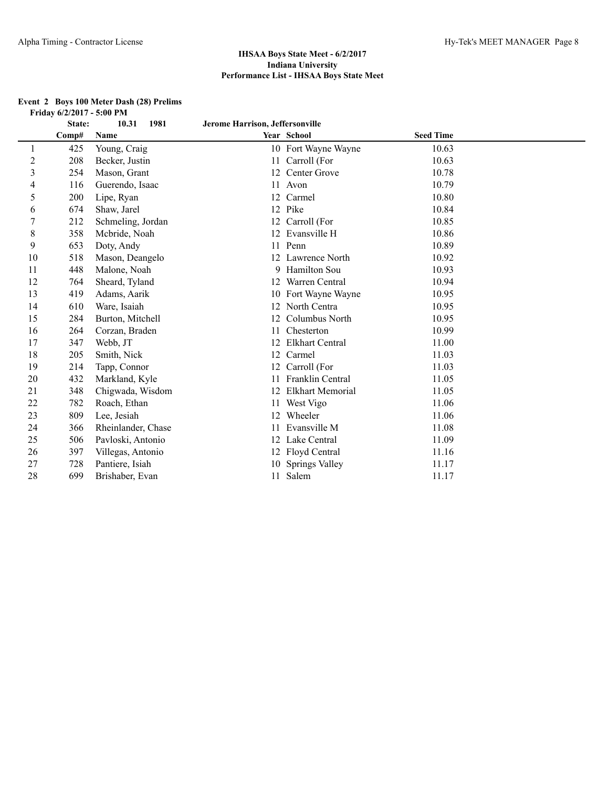|                | State: | 1981<br>10.31      | Jerome Harrison, Jeffersonville |                         |                  |  |
|----------------|--------|--------------------|---------------------------------|-------------------------|------------------|--|
|                | Comp#  | Name               |                                 | Year School             | <b>Seed Time</b> |  |
| 1              | 425    | Young, Craig       | 10                              | Fort Wayne Wayne        | 10.63            |  |
| $\sqrt{2}$     | 208    | Becker, Justin     | 11                              | Carroll (For            | 10.63            |  |
| $\mathfrak{Z}$ | 254    | Mason, Grant       | 12                              | Center Grove            | 10.78            |  |
| $\overline{4}$ | 116    | Guerendo, Isaac    | 11                              | Avon                    | 10.79            |  |
| 5              | 200    | Lipe, Ryan         | 12                              | Carmel                  | 10.80            |  |
| 6              | 674    | Shaw, Jarel        |                                 | 12 Pike                 | 10.84            |  |
| $\tau$         | 212    | Schmeling, Jordan  | 12                              | Carroll (For            | 10.85            |  |
| $\,$ 8 $\,$    | 358    | Mcbride, Noah      | 12                              | Evansville H            | 10.86            |  |
| 9              | 653    | Doty, Andy         |                                 | 11 Penn                 | 10.89            |  |
| 10             | 518    | Mason, Deangelo    | 12                              | Lawrence North          | 10.92            |  |
| 11             | 448    | Malone, Noah       | 9                               | Hamilton Sou            | 10.93            |  |
| 12             | 764    | Sheard, Tyland     | 12                              | Warren Central          | 10.94            |  |
| 13             | 419    | Adams, Aarik       | 10                              | Fort Wayne Wayne        | 10.95            |  |
| 14             | 610    | Ware, Isaiah       | 12                              | North Centra            | 10.95            |  |
| 15             | 284    | Burton, Mitchell   | 12                              | Columbus North          | 10.95            |  |
| 16             | 264    | Corzan, Braden     | 11                              | Chesterton              | 10.99            |  |
| 17             | 347    | Webb, JT           | 12                              | <b>Elkhart Central</b>  | 11.00            |  |
| 18             | 205    | Smith, Nick        | 12                              | Carmel                  | 11.03            |  |
| 19             | 214    | Tapp, Connor       | 12                              | Carroll (For            | 11.03            |  |
| 20             | 432    | Markland, Kyle     | 11                              | Franklin Central        | 11.05            |  |
| 21             | 348    | Chigwada, Wisdom   | 12                              | <b>Elkhart Memorial</b> | 11.05            |  |
| 22             | 782    | Roach, Ethan       | 11                              | West Vigo               | 11.06            |  |
| 23             | 809    | Lee, Jesiah        | 12                              | Wheeler                 | 11.06            |  |
| 24             | 366    | Rheinlander, Chase | 11                              | Evansville M            | 11.08            |  |
| 25             | 506    | Pavloski, Antonio  | 12                              | Lake Central            | 11.09            |  |
| 26             | 397    | Villegas, Antonio  | 12                              | Floyd Central           | 11.16            |  |
| 27             | 728    | Pantiere, Isiah    | 10                              | <b>Springs Valley</b>   | 11.17            |  |
| 28             | 699    | Brishaber, Evan    |                                 | 11 Salem                | 11.17            |  |

#### **Event 2 Boys 100 Meter Dash (28) Prelims Friday 6/2/2017 - 5:00 PM**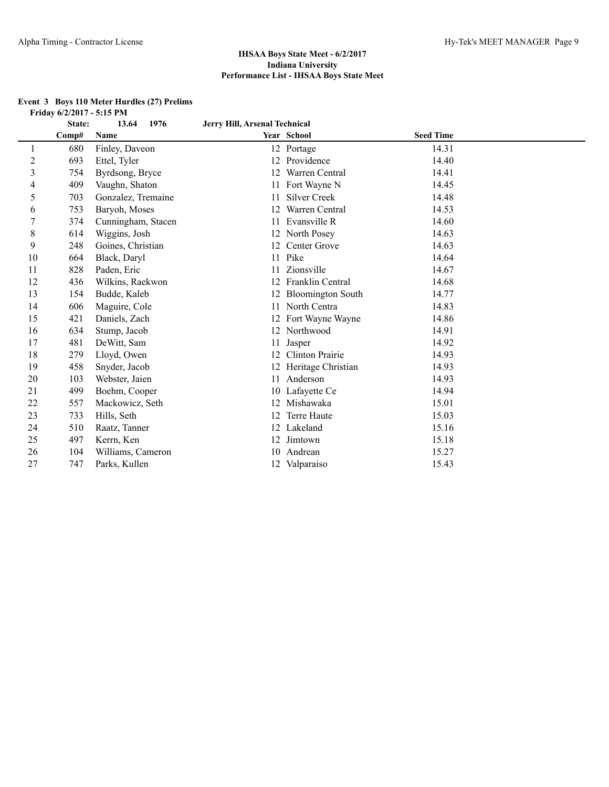### **Event 3 Boys 110 Meter Hurdles (27) Prelims Friday 6/2/2017 - 5:15 PM**

|                         | State: | 13.64<br>1976      | Jerry Hill, Arsenal Technical |                        |                  |  |
|-------------------------|--------|--------------------|-------------------------------|------------------------|------------------|--|
|                         | Comp#  | Name               |                               | Year School            | <b>Seed Time</b> |  |
| 1                       | 680    | Finley, Daveon     |                               | 12 Portage             | 14.31            |  |
| $\overline{\mathbf{c}}$ | 693    | Ettel, Tyler       |                               | 12 Providence          | 14.40            |  |
| 3                       | 754    | Byrdsong, Bryce    | 12                            | Warren Central         | 14.41            |  |
| 4                       | 409    | Vaughn, Shaton     |                               | 11 Fort Wayne N        | 14.45            |  |
| 5                       | 703    | Gonzalez, Tremaine | 11                            | <b>Silver Creek</b>    | 14.48            |  |
| 6                       | 753    | Baryoh, Moses      | 12                            | Warren Central         | 14.53            |  |
|                         | 374    | Cunningham, Stacen | 11                            | Evansville R           | 14.60            |  |
| 8                       | 614    | Wiggins, Josh      |                               | 12 North Posey         | 14.63            |  |
| 9                       | 248    | Goines, Christian  |                               | 12 Center Grove        | 14.63            |  |
| 10                      | 664    | Black, Daryl       |                               | 11 Pike                | 14.64            |  |
| 11                      | 828    | Paden, Eric        |                               | Zionsville             | 14.67            |  |
| 12                      | 436    | Wilkins, Raekwon   | 12                            | Franklin Central       | 14.68            |  |
| 13                      | 154    | Budde, Kaleb       |                               | 12 Bloomington South   | 14.77            |  |
| 14                      | 606    | Maguire, Cole      | 11                            | North Centra           | 14.83            |  |
| 15                      | 421    | Daniels, Zach      |                               | 12 Fort Wayne Wayne    | 14.86            |  |
| 16                      | 634    | Stump, Jacob       |                               | 12 Northwood           | 14.91            |  |
| 17                      | 481    | DeWitt, Sam        | 11                            | Jasper                 | 14.92            |  |
| 18                      | 279    | Lloyd, Owen        | 12                            | <b>Clinton Prairie</b> | 14.93            |  |
| 19                      | 458    | Snyder, Jacob      |                               | 12 Heritage Christian  | 14.93            |  |
| 20                      | 103    | Webster, Jaien     |                               | 11 Anderson            | 14.93            |  |
| 21                      | 499    | Boehm, Cooper      |                               | 10 Lafayette Ce        | 14.94            |  |
| 22                      | 557    | Mackowicz, Seth    |                               | 12 Mishawaka           | 15.01            |  |
| 23                      | 733    | Hills, Seth        |                               | Terre Haute            | 15.03            |  |
| 24                      | 510    | Raatz, Tanner      |                               | 12 Lakeland            | 15.16            |  |
| 25                      | 497    | Kerrn, Ken         |                               | 12 Jimtown             | 15.18            |  |
| 26                      | 104    | Williams, Cameron  | 10                            | Andrean                | 15.27            |  |
| 27                      | 747    | Parks, Kullen      |                               | 12 Valparaiso          | 15.43            |  |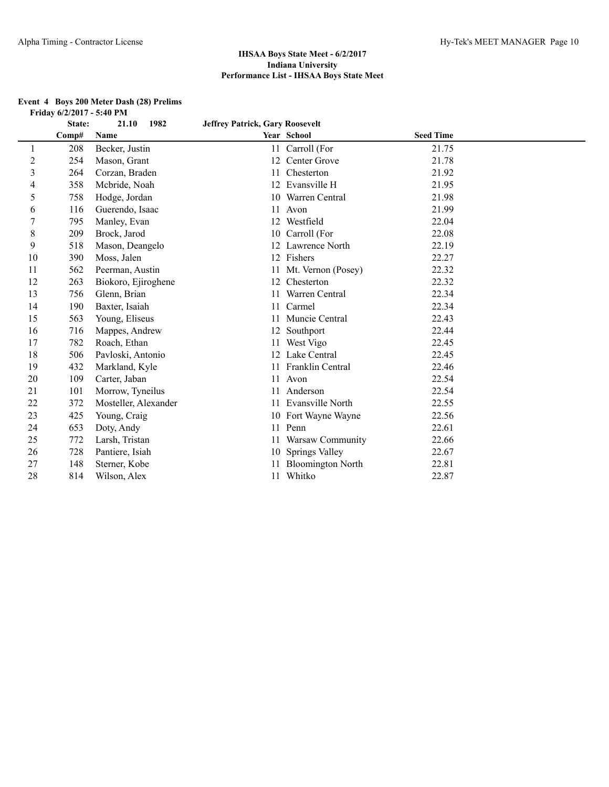**Event 4 Boys 200 Meter Dash (28) Prelims**

## **IHSAA Boys State Meet - 6/2/2017 Indiana University Performance List - IHSAA Boys State Meet**

|                | Friday 6/2/2017 - 5:40 PM |                      |                                        |                          |                  |  |
|----------------|---------------------------|----------------------|----------------------------------------|--------------------------|------------------|--|
|                | State:                    | 1982<br>21.10        | <b>Jeffrey Patrick, Gary Roosevelt</b> |                          |                  |  |
|                | Comp#                     | Name                 |                                        | Year School              | <b>Seed Time</b> |  |
| 1              | 208                       | Becker, Justin       | 11                                     | Carroll (For             | 21.75            |  |
| $\overline{c}$ | 254                       | Mason, Grant         | 12                                     | Center Grove             | 21.78            |  |
| 3              | 264                       | Corzan, Braden       | 11                                     | Chesterton               | 21.92            |  |
| 4              | 358                       | Mcbride, Noah        | 12                                     | Evansville H             | 21.95            |  |
| 5              | 758                       | Hodge, Jordan        | 10                                     | Warren Central           | 21.98            |  |
| 6              | 116                       | Guerendo, Isaac      | 11                                     | Avon                     | 21.99            |  |
| $\overline{7}$ | 795                       | Manley, Evan         | 12                                     | Westfield                | 22.04            |  |
| $8\,$          | 209                       | Brock, Jarod         | 10                                     | Carroll (For             | 22.08            |  |
| 9              | 518                       | Mason, Deangelo      | 12                                     | Lawrence North           | 22.19            |  |
| 10             | 390                       | Moss, Jalen          |                                        | 12 Fishers               | 22.27            |  |
| 11             | 562                       | Peerman, Austin      | 11                                     | Mt. Vernon (Posey)       | 22.32            |  |
| 12             | 263                       | Biokoro, Ejiroghene  | 12                                     | Chesterton               | 22.32            |  |
| 13             | 756                       | Glenn, Brian         | 11                                     | Warren Central           | 22.34            |  |
| 14             | 190                       | Baxter, Isaiah       | 11                                     | Carmel                   | 22.34            |  |
| 15             | 563                       | Young, Eliseus       | 11                                     | Muncie Central           | 22.43            |  |
| 16             | 716                       | Mappes, Andrew       | 12                                     | Southport                | 22.44            |  |
| 17             | 782                       | Roach, Ethan         | 11                                     | West Vigo                | 22.45            |  |
| 18             | 506                       | Pavloski, Antonio    | 12                                     | Lake Central             | 22.45            |  |
| 19             | 432                       | Markland, Kyle       | 11                                     | Franklin Central         | 22.46            |  |
| 20             | 109                       | Carter, Jaban        | 11                                     | Avon                     | 22.54            |  |
| 21             | 101                       | Morrow, Tyneilus     | 11                                     | Anderson                 | 22.54            |  |
| 22             | 372                       | Mosteller, Alexander |                                        | 11 Evansville North      | 22.55            |  |
| 23             | 425                       | Young, Craig         | 10                                     | Fort Wayne Wayne         | 22.56            |  |
| 24             | 653                       | Doty, Andy           |                                        | 11 Penn                  | 22.61            |  |
| 25             | 772                       | Larsh, Tristan       | 11                                     | Warsaw Community         | 22.66            |  |
| 26             | 728                       | Pantiere, Isiah      | 10                                     | Springs Valley           | 22.67            |  |
| 27             | 148                       | Sterner, Kobe        | 11                                     | <b>Bloomington North</b> | 22.81            |  |
| 28             | 814                       | Wilson, Alex         |                                        | 11 Whitko                | 22.87            |  |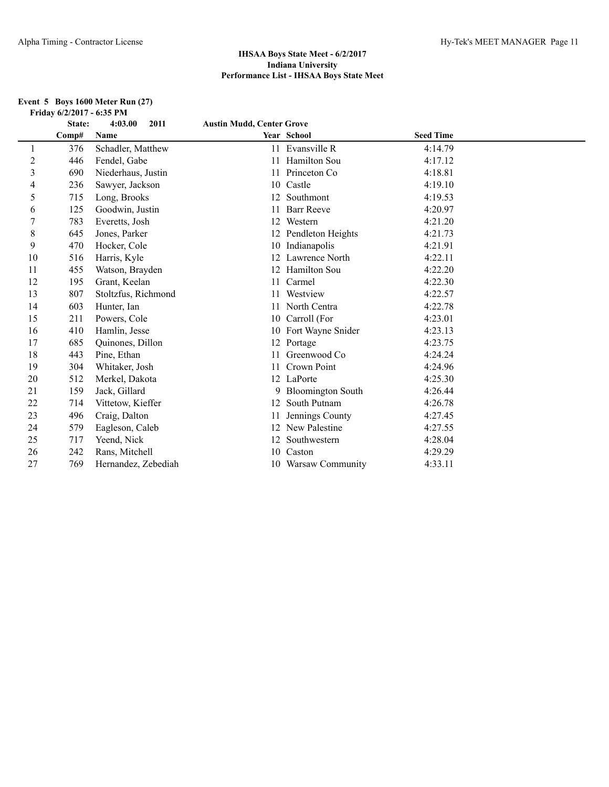#### **Event 5 Boys 1600 Meter Run (27) Friday 6/2/2017 - 6:35 PM**

|    | State: | 4:03.00<br>2011     | <b>Austin Mudd, Center Grove</b> |                          |                  |  |
|----|--------|---------------------|----------------------------------|--------------------------|------------------|--|
|    | Comp#  | Name                |                                  | Year School              | <b>Seed Time</b> |  |
| 1  | 376    | Schadler, Matthew   |                                  | 11 Evansville R          | 4:14.79          |  |
| 2  | 446    | Fendel, Gabe        | 11                               | Hamilton Sou             | 4:17.12          |  |
| 3  | 690    | Niederhaus, Justin  |                                  | 11 Princeton Co          | 4:18.81          |  |
| 4  | 236    | Sawyer, Jackson     | 10                               | Castle                   | 4:19.10          |  |
| 5  | 715    | Long, Brooks        | 12                               | Southmont                | 4:19.53          |  |
| 6  | 125    | Goodwin, Justin     |                                  | <b>Barr Reeve</b>        | 4:20.97          |  |
| 7  | 783    | Everetts, Josh      | 12                               | Western                  | 4:21.20          |  |
| 8  | 645    | Jones, Parker       |                                  | 12 Pendleton Heights     | 4:21.73          |  |
| 9  | 470    | Hocker, Cole        |                                  | 10 Indianapolis          | 4:21.91          |  |
| 10 | 516    | Harris, Kyle        |                                  | 12 Lawrence North        | 4:22.11          |  |
| 11 | 455    | Watson, Brayden     |                                  | <b>Hamilton Sou</b>      | 4:22.20          |  |
| 12 | 195    | Grant, Keelan       | 11                               | Carmel                   | 4:22.30          |  |
| 13 | 807    | Stoltzfus, Richmond |                                  | Westview                 | 4:22.57          |  |
| 14 | 603    | Hunter, Ian         | 11                               | North Centra             | 4:22.78          |  |
| 15 | 211    | Powers, Cole        | 10                               | Carroll (For             | 4:23.01          |  |
| 16 | 410    | Hamlin, Jesse       |                                  | 10 Fort Wayne Snider     | 4:23.13          |  |
| 17 | 685    | Quinones, Dillon    | 12                               | Portage                  | 4:23.75          |  |
| 18 | 443    | Pine, Ethan         |                                  | Greenwood Co             | 4:24.24          |  |
| 19 | 304    | Whitaker, Josh      | 11                               | Crown Point              | 4:24.96          |  |
| 20 | 512    | Merkel, Dakota      |                                  | 12 LaPorte               | 4:25.30          |  |
| 21 | 159    | Jack, Gillard       | 9                                | <b>Bloomington South</b> | 4:26.44          |  |
| 22 | 714    | Vittetow, Kieffer   | 12                               | South Putnam             | 4:26.78          |  |
| 23 | 496    | Craig, Dalton       |                                  | Jennings County          | 4:27.45          |  |
| 24 | 579    | Eagleson, Caleb     | 12                               | New Palestine            | 4:27.55          |  |
| 25 | 717    | Yeend, Nick         |                                  | Southwestern             | 4:28.04          |  |
| 26 | 242    | Rans, Mitchell      | 10                               | Caston                   | 4:29.29          |  |
| 27 | 769    | Hernandez, Zebediah |                                  | 10 Warsaw Community      | 4:33.11          |  |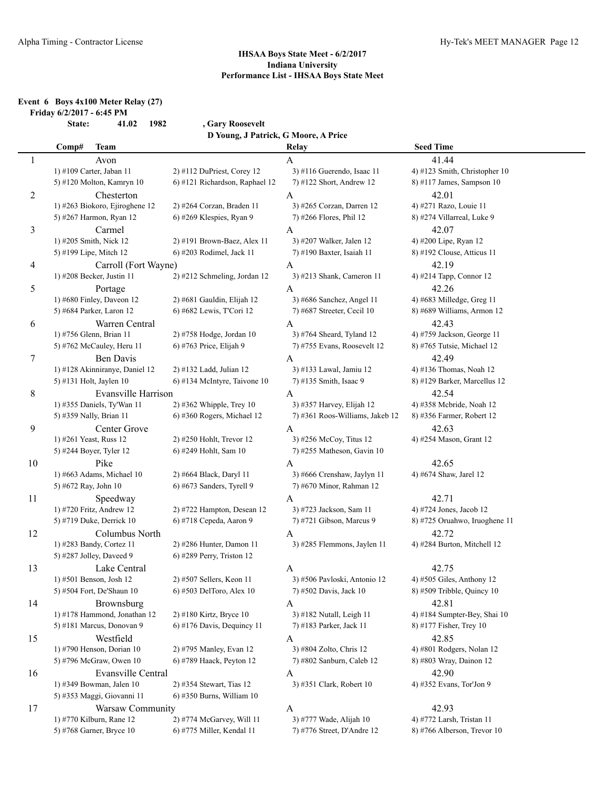# **Event 6 Boys 4x100 Meter Relay (27)**

**Friday 6/2/2017 - 6:45 PM State: 41.02 1982 , Gary Roosevelt**

|        | D Young, J Patrick, G Moore, A Price       |                                                     |                                   |                                                            |  |  |
|--------|--------------------------------------------|-----------------------------------------------------|-----------------------------------|------------------------------------------------------------|--|--|
|        | Comp#<br><b>Team</b>                       |                                                     | Relay                             | <b>Seed Time</b>                                           |  |  |
| 1      | Avon                                       |                                                     | A                                 | 41.44                                                      |  |  |
|        | 1) #109 Carter, Jaban 11                   | 2) #112 DuPriest, Corey 12                          | 3) #116 Guerendo, Isaac 11        | 4) #123 Smith, Christopher 10                              |  |  |
|        | 5) #120 Molton, Kamryn 10                  | 6) #121 Richardson, Raphael 12                      | 7) #122 Short, Andrew 12          | 8) #117 James, Sampson 10                                  |  |  |
| 2      | Chesterton                                 |                                                     | A                                 | 42.01                                                      |  |  |
|        | 1) #263 Biokoro, Ejiroghene 12             | 2) #264 Corzan, Braden 11                           | 3) #265 Corzan, Darren 12         | 4) #271 Razo, Louie 11                                     |  |  |
|        | 5) #267 Harmon, Ryan 12                    | $6$ ) #269 Klespies, Ryan 9                         | 7) #266 Flores, Phil 12           | 8) #274 Villarreal, Luke 9                                 |  |  |
| 3      | Carmel                                     |                                                     | A                                 | 42.07                                                      |  |  |
|        | 1) #205 Smith, Nick 12                     | 2) #191 Brown-Baez, Alex 11                         | 3) #207 Walker, Jalen 12          | 4) #200 Lipe, Ryan 12                                      |  |  |
|        | 5) #199 Lipe, Mitch 12                     | 6) #203 Rodimel, Jack 11                            | 7) #190 Baxter, Isaiah 11         | 8) #192 Clouse, Atticus 11                                 |  |  |
| 4      | Carroll (Fort Wayne)                       |                                                     | A                                 | 42.19                                                      |  |  |
|        | 1) #208 Becker, Justin 11                  | 2) #212 Schmeling, Jordan 12                        | 3) #213 Shank, Cameron 11         | 4) #214 Tapp, Connor 12                                    |  |  |
| 5      | Portage                                    |                                                     | A                                 | 42.26                                                      |  |  |
|        | 1) #680 Finley, Daveon 12                  | 2) #681 Gauldin, Elijah 12                          | 3) #686 Sanchez, Angel 11         | 4) #683 Milledge, Greg 11                                  |  |  |
|        | 5) #684 Parker, Laron 12                   | 6) #682 Lewis, T'Cori 12                            | 7) #687 Streeter, Cecil 10        | 8) #689 Williams, Armon 12                                 |  |  |
| 6      | Warren Central                             |                                                     | A                                 | 42.43                                                      |  |  |
|        | 1) #756 Glenn, Brian 11                    | 2) #758 Hodge, Jordan 10                            | 3) #764 Sheard, Tyland 12         | 4) #759 Jackson, George 11                                 |  |  |
|        | 5) #762 McCauley, Heru 11                  | 6) #763 Price, Elijah 9                             | 7) #755 Evans, Roosevelt 12       | 8) #765 Tutsie, Michael 12                                 |  |  |
| $\tau$ | <b>Ben Davis</b>                           |                                                     | A                                 | 42.49                                                      |  |  |
|        | 1) #128 Akinniranye, Daniel 12             | 2) #132 Ladd, Julian 12                             | 3) #133 Lawal, Jamiu 12           | 4) #136 Thomas, Noah 12                                    |  |  |
|        | 5) #131 Holt, Jaylen 10                    | 6) #134 McIntyre, Taivone 10                        | 7) #135 Smith, Isaac 9            | 8) #129 Barker, Marcellus 12                               |  |  |
| 8      | Evansville Harrison                        |                                                     | A                                 | 42.54                                                      |  |  |
|        | 1) #355 Daniels, Ty'Wan 11                 | $2)$ #362 Whipple, Trey 10                          | 3) #357 Harvey, Elijah 12         | 4) #358 Mebride, Noah 12                                   |  |  |
|        | 5) #359 Nally, Brian 11                    | 6) #360 Rogers, Michael 12                          | 7) #361 Roos-Williams, Jakeb 12   | 8) #356 Farmer, Robert 12                                  |  |  |
| 9      | Center Grove                               |                                                     | A                                 | 42.63                                                      |  |  |
|        | 1) #261 Yeast, Russ 12                     | 2) #250 Hohlt, Trevor 12                            | 3) #256 McCoy, Titus 12           | 4) #254 Mason, Grant 12                                    |  |  |
|        | 5) #244 Boyer, Tyler 12                    | 6) #249 Hohlt, Sam 10                               | 7) #255 Matheson, Gavin 10        |                                                            |  |  |
| 10     | Pike                                       |                                                     |                                   | 42.65                                                      |  |  |
|        | 1) #663 Adams, Michael 10                  | 2) #664 Black, Daryl 11                             | A<br>3) #666 Crenshaw, Jaylyn 11  | 4) #674 Shaw, Jarel 12                                     |  |  |
|        | 5) #672 Ray, John 10                       | 6) #673 Sanders, Tyrell 9                           | 7) #670 Minor, Rahman 12          |                                                            |  |  |
| 11     | Speedway                                   |                                                     | A                                 | 42.71                                                      |  |  |
|        | 1) #720 Fritz, Andrew 12                   | 2) #722 Hampton, Desean 12                          | 3) #723 Jackson, Sam 11           | 4) #724 Jones, Jacob 12                                    |  |  |
|        | 5) #719 Duke, Derrick 10                   | 6) #718 Cepeda, Aaron 9                             | 7) #721 Gibson, Marcus 9          | 8) #725 Oruahwo, Iruoghene 11                              |  |  |
| 12     | Columbus North                             |                                                     |                                   | 42.72                                                      |  |  |
|        | 1) #283 Bandy, Cortez 11                   | 2) #286 Hunter, Damon 11                            | A<br>3) #285 Flemmons, Jaylen 11  | 4) #284 Burton, Mitchell 12                                |  |  |
|        | 5) #287 Jolley, Daveed 9                   | 6) #289 Perry, Triston 12                           |                                   |                                                            |  |  |
|        | Lake Central                               |                                                     |                                   | 42.75                                                      |  |  |
| 13     | 1) #501 Benson, Josh 12                    | 2) #507 Sellers, Keon 11                            | A<br>3) #506 Pavloski, Antonio 12 |                                                            |  |  |
|        | 5) #504 Fort, De'Shaun 10                  | 6) #503 DelToro, Alex 10                            | 7) #502 Davis, Jack 10            | $(4)$ #505 Giles, Anthony 12<br>8) #509 Tribble, Quincy 10 |  |  |
|        |                                            |                                                     |                                   | 42.81                                                      |  |  |
| 14     | Brownsburg<br>1) #178 Hammond, Jonathan 12 | 2) #180 Kirtz, Bryce 10                             | A<br>3) #182 Nutall, Leigh 11     | 4) #184 Sumpter-Bey, Shai 10                               |  |  |
|        | 5) #181 Marcus, Donovan 9                  | 6) #176 Davis, Dequincy 11                          | 7) #183 Parker, Jack 11           | 8) #177 Fisher, Trey 10                                    |  |  |
|        |                                            |                                                     |                                   |                                                            |  |  |
| 15     | Westfield<br>1) #790 Henson, Dorian 10     |                                                     | A<br>3) #804 Zolto, Chris 12      | 42.85<br>4) #801 Rodgers, Nolan 12                         |  |  |
|        | 5) #796 McGraw, Owen 10                    | 2) #795 Manley, Evan 12<br>6) #789 Haack, Peyton 12 |                                   |                                                            |  |  |
|        |                                            |                                                     | 7) #802 Sanburn, Caleb 12         | 8) #803 Wray, Dainon 12                                    |  |  |
| 16     | Evansville Central                         |                                                     | A                                 | 42.90                                                      |  |  |
|        | 1) #349 Bowman, Jalen 10                   | 2) #354 Stewart, Tias 12                            | 3) #351 Clark, Robert 10          | 4) #352 Evans, Tor'Jon 9                                   |  |  |
|        | 5) #353 Maggi, Giovanni 11                 | 6) #350 Burns, William 10                           |                                   |                                                            |  |  |
| 17     | Warsaw Community                           |                                                     | A                                 | 42.93                                                      |  |  |
|        | 1) #770 Kilburn, Rane 12                   | 2) #774 McGarvey, Will 11                           | 3) #777 Wade, Alijah 10           | 4) #772 Larsh, Tristan 11                                  |  |  |
|        | 5) #768 Garner, Bryce 10                   | 6) #775 Miller, Kendal 11                           | 7) #776 Street, D'Andre 12        | 8) #766 Alberson, Trevor 10                                |  |  |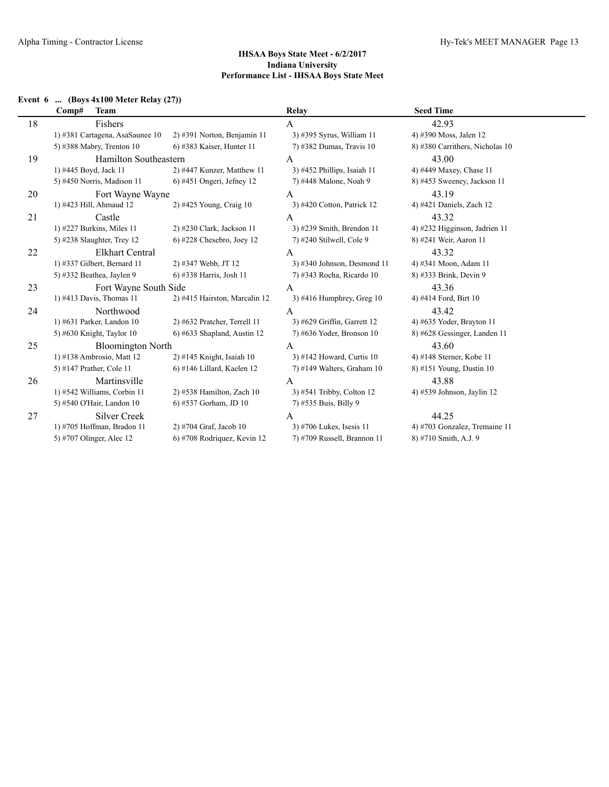l,

## **IHSAA Boys State Meet - 6/2/2017 Indiana University Performance List - IHSAA Boys State Meet**

## **Event 6 ... (Boys 4x100 Meter Relay (27))**

|    | <b>Team</b><br>Comp#            |                                | Relay                         | <b>Seed Time</b>                |  |
|----|---------------------------------|--------------------------------|-------------------------------|---------------------------------|--|
| 18 | Fishers                         |                                | A                             | 42.93                           |  |
|    | 1) #381 Cartagena, AsaSaunee 10 | $2)$ #391 Norton, Benjamin 11  | 3) #395 Syrus, William 11     | 4) #390 Moss, Jalen 12          |  |
|    | 5) #388 Mabry, Trenton 10       | 6) #383 Kaiser, Hunter 11      | 7) #382 Dumas, Travis 10      | 8) #380 Carrithers, Nicholas 10 |  |
| 19 | <b>Hamilton Southeastern</b>    |                                | А                             | 43.00                           |  |
|    | 1) #445 Boyd, Jack 11           | 2) #447 Kunzer, Matthew 11     | 3) #452 Phillips, Isaiah 11   | 4) #449 Maxey, Chase 11         |  |
|    | 5) #450 Norris, Madison 11      | $6)$ #451 Ongeri, Jefney 12    | 7) #448 Malone, Noah 9        | 8) #453 Sweeney, Jackson 11     |  |
| 20 | Fort Wayne Wayne                |                                | A                             | 43.19                           |  |
|    | 1) #423 Hill, Ahmaud 12         | 2) #425 Young, Craig 10        | 3) #420 Cotton, Patrick 12    | 4) #421 Daniels, Zach 12        |  |
| 21 | Castle                          |                                | A                             | 43.32                           |  |
|    | 1) #227 Burkins, Miles $11$     | 2) #230 Clark, Jackson 11      | 3) #239 Smith, Brendon 11     | 4) #232 Higginson, Jadrien 11   |  |
|    | 5) #238 Slaughter, Trey 12      | $6$ ) #228 Chesebro, Joey 12   | 7) #240 Stilwell, Cole 9      | 8) #241 Weir, Aaron 11          |  |
| 22 | <b>Elkhart Central</b>          |                                | A                             | 43.32                           |  |
|    | 1) #337 Gilbert, Bernard 11     | 2) #347 Webb, JT 12            | $3)$ #340 Johnson, Desmond 11 | 4) #341 Moon, Adam 11           |  |
|    | 5) #332 Beathea, Jaylen 9       | 6) #338 Harris, Josh 11        | 7) #343 Rocha, Ricardo 10     | 8) #333 Brink, Devin 9          |  |
| 23 | Fort Wayne South Side           |                                | A                             | 43.36                           |  |
|    | 1) #413 Davis, Thomas 11        | 2) #415 Hairston, Marcalin 12  | 3) #416 Humphrey, Greg $10$   | 4) #414 Ford, Birt 10           |  |
| 24 | Northwood                       |                                | $\mathbf{A}$                  | 43.42                           |  |
|    | 1) #631 Parker, Landon 10       | 2) #632 Pratcher, Terrell 11   | 3) #629 Griffin, Garrett 12   | 4) #635 Yoder, Brayton 11       |  |
|    | 5) #630 Knight, Taylor $10$     | $6$ ) #633 Shapland, Austin 12 | $7)$ #636 Yoder, Bronson 10   | 8) #628 Gessinger, Landen 11    |  |
| 25 | <b>Bloomington North</b>        |                                | A                             | 43.60                           |  |
|    | 1) #138 Ambrosio, Matt 12       | $2)$ #145 Knight, Isaiah 10    | 3) #142 Howard, Curtis 10     | 4) #148 Sterner, Kobe 11        |  |
|    | 5) #147 Prather, Cole 11        | $6$ ) #146 Lillard, Kaelen 12  | $7)$ #149 Walters, Graham 10  | 8) #151 Young, Dustin 10        |  |
| 26 | Martinsville                    |                                | A                             | 43.88                           |  |
|    | 1) #542 Williams, Corbin 11     | $2)$ #538 Hamilton, Zach 10    | 3) #541 Tribby, Colton 12     | 4) #539 Johnson, Jaylin 12      |  |
|    | 5) #540 O'Hair, Landon 10       | 6) #537 Gorham, JD 10          | 7) #535 Buis, Billy 9         |                                 |  |
| 27 | <b>Silver Creek</b>             |                                | A                             | 44.25                           |  |
|    | 1) #705 Hoffman, Bradon 11      | 2) #704 Graf, Jacob 10         | 3) #706 Lukes, Isesis 11      | 4) #703 Gonzalez, Tremaine 11   |  |
|    | 5) #707 Olinger, Alec 12        | 6) #708 Rodriquez, Kevin 12    | 7) #709 Russell, Brannon 11   | 8) #710 Smith, A.J. 9           |  |
|    |                                 |                                |                               |                                 |  |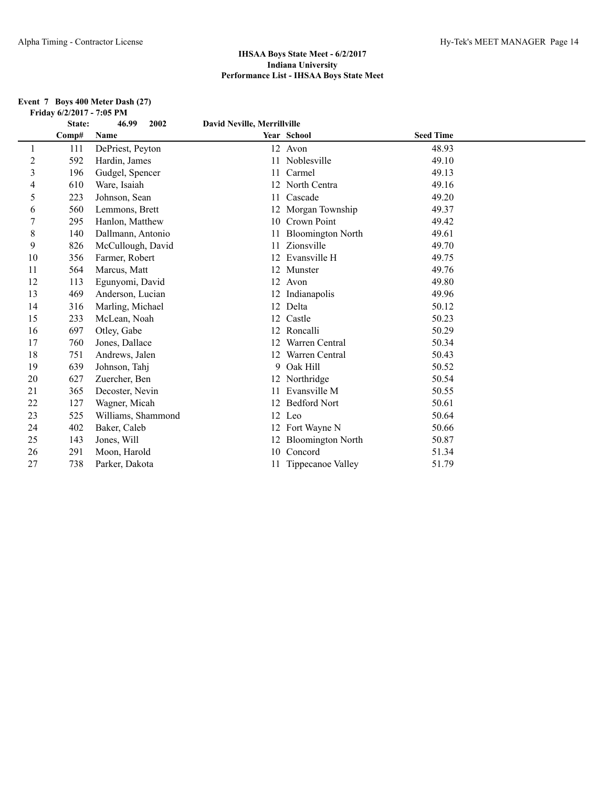#### **Event 7 Boys 400 Meter Dash (27) Friday 6/2/2017 - 7:05 PM**

|                  | State: | 46.99<br>2002      | <b>David Neville, Merrillville</b> |                          |                  |  |
|------------------|--------|--------------------|------------------------------------|--------------------------|------------------|--|
|                  | Comp#  | Name               |                                    | Year School              | <b>Seed Time</b> |  |
| 1                | 111    | DePriest, Peyton   |                                    | 12 Avon                  | 48.93            |  |
| $\overline{c}$   | 592    | Hardin, James      |                                    | 11 Noblesville           | 49.10            |  |
| 3                | 196    | Gudgel, Spencer    | 11                                 | Carmel                   | 49.13            |  |
| 4                | 610    | Ware, Isaiah       |                                    | 12 North Centra          | 49.16            |  |
| 5                | 223    | Johnson, Sean      | 11                                 | Cascade                  | 49.20            |  |
| 6                | 560    | Lemmons, Brett     |                                    | 12 Morgan Township       | 49.37            |  |
| $\boldsymbol{7}$ | 295    | Hanlon, Matthew    |                                    | 10 Crown Point           | 49.42            |  |
| 8                | 140    | Dallmann, Antonio  | 11                                 | <b>Bloomington North</b> | 49.61            |  |
| 9                | 826    | McCullough, David  |                                    | 11 Zionsville            | 49.70            |  |
| 10               | 356    | Farmer, Robert     |                                    | 12 Evansville H          | 49.75            |  |
| 11               | 564    | Marcus, Matt       |                                    | 12 Munster               | 49.76            |  |
| 12               | 113    | Egunyomi, David    |                                    | 12 Avon                  | 49.80            |  |
| 13               | 469    | Anderson, Lucian   |                                    | 12 Indianapolis          | 49.96            |  |
| 14               | 316    | Marling, Michael   |                                    | 12 Delta                 | 50.12            |  |
| 15               | 233    | McLean, Noah       | 12                                 | Castle                   | 50.23            |  |
| 16               | 697    | Otley, Gabe        |                                    | 12 Roncalli              | 50.29            |  |
| 17               | 760    | Jones, Dallace     | 12                                 | Warren Central           | 50.34            |  |
| 18               | 751    | Andrews, Jalen     |                                    | 12 Warren Central        | 50.43            |  |
| 19               | 639    | Johnson, Tahj      | 9                                  | Oak Hill                 | 50.52            |  |
| 20               | 627    | Zuercher, Ben      |                                    | 12 Northridge            | 50.54            |  |
| 21               | 365    | Decoster, Nevin    | 11                                 | Evansville M             | 50.55            |  |
| 22               | 127    | Wagner, Micah      | 12                                 | <b>Bedford Nort</b>      | 50.61            |  |
| 23               | 525    | Williams, Shammond |                                    | 12 Leo                   | 50.64            |  |
| 24               | 402    | Baker, Caleb       |                                    | 12 Fort Wayne N          | 50.66            |  |
| 25               | 143    | Jones, Will        |                                    | 12 Bloomington North     | 50.87            |  |
| 26               | 291    | Moon, Harold       | 10                                 | Concord                  | 51.34            |  |
| 27               | 738    | Parker, Dakota     |                                    | 11 Tippecanoe Valley     | 51.79            |  |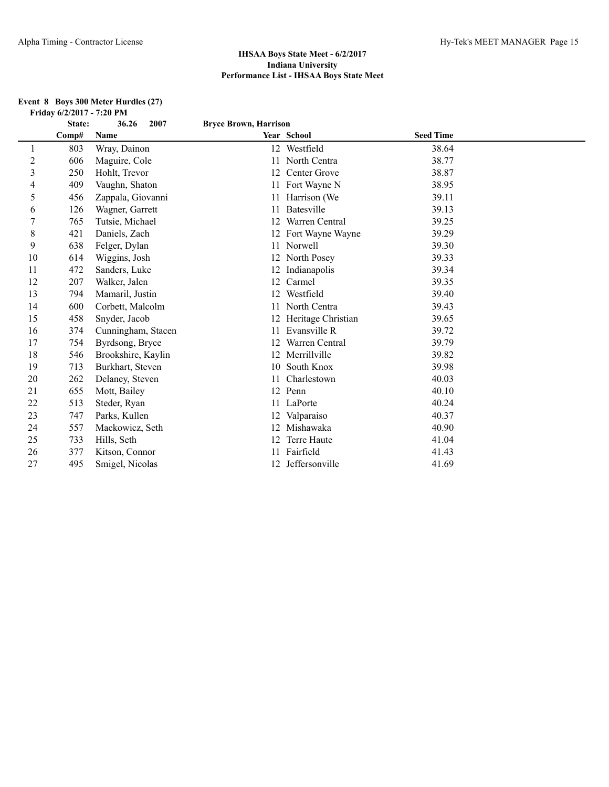#### **Event 8 Boys 300 Meter Hurdles (27) Friday 6/2/2017 - 7:20 PM**

|                | State: | 36.26<br>2007      | <b>Bryce Brown, Harrison</b> |                       |                  |  |
|----------------|--------|--------------------|------------------------------|-----------------------|------------------|--|
|                | Comp#  | Name               |                              | Year School           | <b>Seed Time</b> |  |
|                | 803    | Wray, Dainon       |                              | 12 Westfield          | 38.64            |  |
| $\overline{c}$ | 606    | Maguire, Cole      | 11                           | North Centra          | 38.77            |  |
| $\overline{3}$ | 250    | Hohlt, Trevor      |                              | 12 Center Grove       | 38.87            |  |
| 4              | 409    | Vaughn, Shaton     |                              | 11 Fort Wayne N       | 38.95            |  |
| 5              | 456    | Zappala, Giovanni  | 11                           | Harrison (We          | 39.11            |  |
| 6              | 126    | Wagner, Garrett    |                              | Batesville            | 39.13            |  |
| $\tau$         | 765    | Tutsie, Michael    | 12                           | Warren Central        | 39.25            |  |
| 8              | 421    | Daniels, Zach      |                              | 12 Fort Wayne Wayne   | 39.29            |  |
| 9              | 638    | Felger, Dylan      |                              | 11 Norwell            | 39.30            |  |
| 10             | 614    | Wiggins, Josh      |                              | 12 North Posey        | 39.33            |  |
| 11             | 472    | Sanders, Luke      |                              | 12 Indianapolis       | 39.34            |  |
| 12             | 207    | Walker, Jalen      | 12                           | Carmel                | 39.35            |  |
| 13             | 794    | Mamaril, Justin    |                              | 12 Westfield          | 39.40            |  |
| 14             | 600    | Corbett, Malcolm   |                              | 11 North Centra       | 39.43            |  |
| 15             | 458    | Snyder, Jacob      |                              | 12 Heritage Christian | 39.65            |  |
| 16             | 374    | Cunningham, Stacen |                              | 11 Evansville R       | 39.72            |  |
| 17             | 754    | Byrdsong, Bryce    | 12                           | Warren Central        | 39.79            |  |
| 18             | 546    | Brookshire, Kaylin |                              | 12 Merrillville       | 39.82            |  |
| 19             | 713    | Burkhart, Steven   |                              | 10 South Knox         | 39.98            |  |
| 20             | 262    | Delaney, Steven    | 11                           | Charlestown           | 40.03            |  |
| 21             | 655    | Mott, Bailey       |                              | 12 Penn               | 40.10            |  |
| 22             | 513    | Steder, Ryan       |                              | 11 LaPorte            | 40.24            |  |
| 23             | 747    | Parks, Kullen      |                              | 12 Valparaiso         | 40.37            |  |
| 24             | 557    | Mackowicz, Seth    | 12                           | Mishawaka             | 40.90            |  |
| 25             | 733    | Hills, Seth        | 12                           | Terre Haute           | 41.04            |  |
| 26             | 377    | Kitson, Connor     |                              | Fairfield             | 41.43            |  |
| 27             | 495    | Smigel, Nicolas    |                              | 12 Jeffersonville     | 41.69            |  |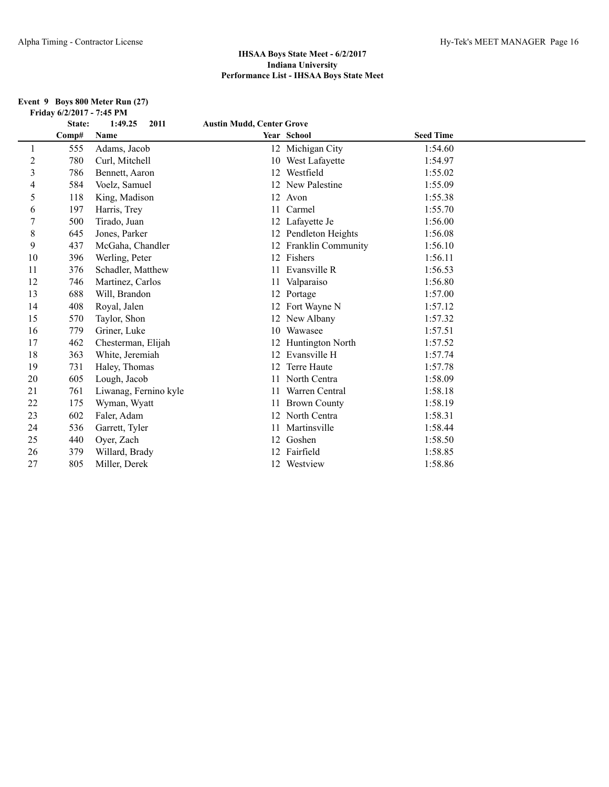#### **Event 9 Boys 800 Meter Run (27) Friday 6/2/2017 - 7:45 PM**

|                | State: | 1:49.25<br>2011       | <b>Austin Mudd, Center Grove</b> |                       |                  |  |
|----------------|--------|-----------------------|----------------------------------|-----------------------|------------------|--|
|                | Comp#  | Name                  |                                  | Year School           | <b>Seed Time</b> |  |
|                | 555    | Adams, Jacob          |                                  | 12 Michigan City      | 1:54.60          |  |
| $\overline{c}$ | 780    | Curl, Mitchell        |                                  | 10 West Lafayette     | 1:54.97          |  |
| 3              | 786    | Bennett, Aaron        | 12                               | Westfield             | 1:55.02          |  |
| 4              | 584    | Voelz, Samuel         |                                  | 12 New Palestine      | 1:55.09          |  |
| 5              | 118    | King, Madison         |                                  | 12 Avon               | 1:55.38          |  |
| 6              | 197    | Harris, Trey          | 11                               | Carmel                | 1:55.70          |  |
| 7              | 500    | Tirado, Juan          |                                  | 12 Lafayette Je       | 1:56.00          |  |
| 8              | 645    | Jones, Parker         |                                  | 12 Pendleton Heights  | 1:56.08          |  |
| 9              | 437    | McGaha, Chandler      |                                  | 12 Franklin Community | 1:56.10          |  |
| 10             | 396    | Werling, Peter        |                                  | 12 Fishers            | 1:56.11          |  |
| 11             | 376    | Schadler, Matthew     |                                  | Evansville R          | 1:56.53          |  |
| 12             | 746    | Martinez, Carlos      | 11                               | Valparaiso            | 1:56.80          |  |
| 13             | 688    | Will, Brandon         |                                  | 12 Portage            | 1:57.00          |  |
| 14             | 408    | Royal, Jalen          |                                  | 12 Fort Wayne N       | 1:57.12          |  |
| 15             | 570    | Taylor, Shon          |                                  | 12 New Albany         | 1:57.32          |  |
| 16             | 779    | Griner, Luke          |                                  | 10 Wawasee            | 1:57.51          |  |
| 17             | 462    | Chesterman, Elijah    | 12                               | Huntington North      | 1:57.52          |  |
| 18             | 363    | White, Jeremiah       | 12 <sup>2</sup>                  | Evansville H          | 1:57.74          |  |
| 19             | 731    | Haley, Thomas         |                                  | Terre Haute           | 1:57.78          |  |
| 20             | 605    | Lough, Jacob          | 11                               | North Centra          | 1:58.09          |  |
| 21             | 761    | Liwanag, Fernino kyle | 11                               | Warren Central        | 1:58.18          |  |
| 22             | 175    | Wyman, Wyatt          | 11                               | <b>Brown County</b>   | 1:58.19          |  |
| 23             | 602    | Faler, Adam           |                                  | 12 North Centra       | 1:58.31          |  |
| 24             | 536    | Garrett, Tyler        |                                  | Martinsville          | 1:58.44          |  |
| 25             | 440    | Oyer, Zach            | 12                               | Goshen                | 1:58.50          |  |
| 26             | 379    | Willard, Brady        |                                  | 12 Fairfield          | 1:58.85          |  |
| 27             | 805    | Miller, Derek         |                                  | 12 Westview           | 1:58.86          |  |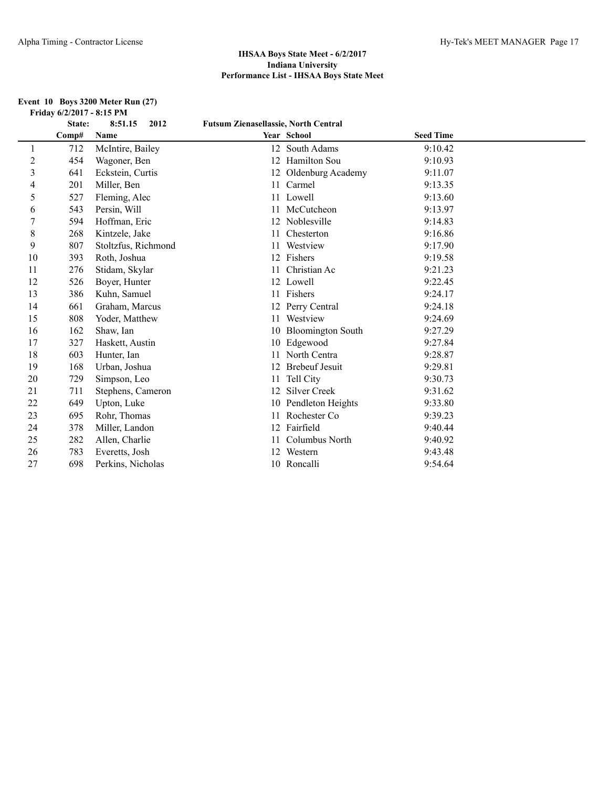#### **Event 10 Boys 3200 Meter Run (27) Friday 6/2/2017 - 8:15 PM**

|                | State: | 8:51.15<br>2012     | <b>Futsum Zienasellassie, North Central</b> |                       |                  |  |
|----------------|--------|---------------------|---------------------------------------------|-----------------------|------------------|--|
|                | Comp#  | Name                |                                             | Year School           | <b>Seed Time</b> |  |
| $\perp$        | 712    | McIntire, Bailey    |                                             | 12 South Adams        | 9:10.42          |  |
| $\overline{2}$ | 454    | Wagoner, Ben        |                                             | 12 Hamilton Sou       | 9:10.93          |  |
| 3              | 641    | Eckstein, Curtis    |                                             | 12 Oldenburg Academy  | 9:11.07          |  |
| 4              | 201    | Miller, Ben         |                                             | 11 Carmel             | 9:13.35          |  |
| 5              | 527    | Fleming, Alec       |                                             | 11 Lowell             | 9:13.60          |  |
| 6              | 543    | Persin, Will        |                                             | 11 McCutcheon         | 9:13.97          |  |
| 7              | 594    | Hoffman, Eric       |                                             | 12 Noblesville        | 9:14.83          |  |
| 8              | 268    | Kintzele, Jake      | 11                                          | Chesterton            | 9:16.86          |  |
| 9              | 807    | Stoltzfus, Richmond |                                             | Westview              | 9:17.90          |  |
| 10             | 393    | Roth, Joshua        |                                             | 12 Fishers            | 9:19.58          |  |
| 11             | 276    | Stidam, Skylar      | 11                                          | Christian Ac          | 9:21.23          |  |
| 12             | 526    | Boyer, Hunter       |                                             | 12 Lowell             | 9:22.45          |  |
| 13             | 386    | Kuhn, Samuel        |                                             | 11 Fishers            | 9:24.17          |  |
| 14             | 661    | Graham, Marcus      |                                             | 12 Perry Central      | 9:24.18          |  |
| 15             | 808    | Yoder, Matthew      | 11                                          | Westview              | 9:24.69          |  |
| 16             | 162    | Shaw, Ian           |                                             | 10 Bloomington South  | 9:27.29          |  |
| 17             | 327    | Haskett, Austin     |                                             | 10 Edgewood           | 9:27.84          |  |
| 18             | 603    | Hunter, Ian         |                                             | North Centra          | 9:28.87          |  |
| 19             | 168    | Urban, Joshua       |                                             | <b>Brebeuf Jesuit</b> | 9:29.81          |  |
| 20             | 729    | Simpson, Leo        | 11                                          | Tell City             | 9:30.73          |  |
| 21             | 711    | Stephens, Cameron   | 12                                          | <b>Silver Creek</b>   | 9:31.62          |  |
| 22             | 649    | Upton, Luke         |                                             | 10 Pendleton Heights  | 9:33.80          |  |
| 23             | 695    | Rohr, Thomas        | 11                                          | Rochester Co          | 9:39.23          |  |
| 24             | 378    | Miller, Landon      |                                             | 12 Fairfield          | 9:40.44          |  |
| 25             | 282    | Allen, Charlie      | 11                                          | Columbus North        | 9:40.92          |  |
| 26             | 783    | Everetts, Josh      | 12                                          | Western               | 9:43.48          |  |
| 27             | 698    | Perkins, Nicholas   |                                             | 10 Roncalli           | 9:54.64          |  |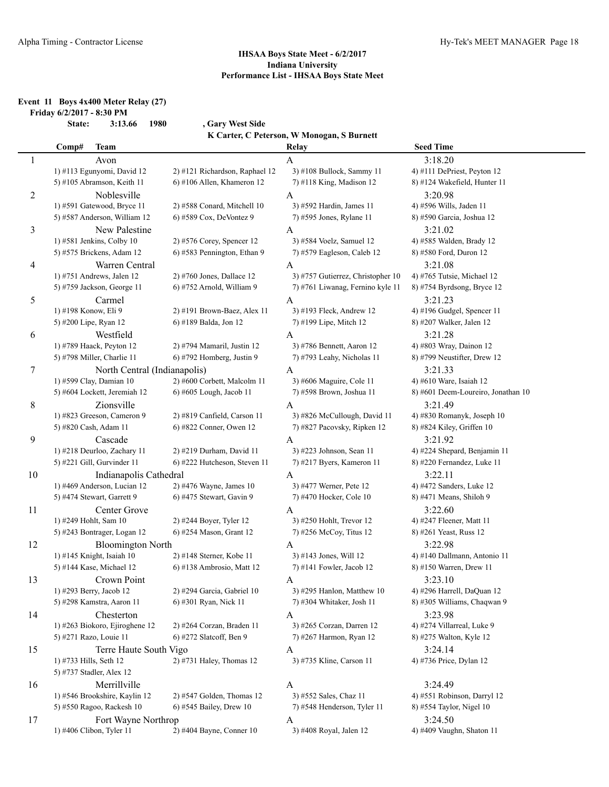#### **Event 11 Boys 4x400 Meter Relay (27) Friday 6/2/2017 - 8:30 PM**

**State: 3:13.66 1980 , Gary West Side K Carter, C Peterson, W Monogan, S Burnett**

|    | Comp#<br><b>Team</b>                                   |                                | Relay                                                   | <b>Seed Time</b>                   |
|----|--------------------------------------------------------|--------------------------------|---------------------------------------------------------|------------------------------------|
| 1  | Avon                                                   |                                | $\mathbf{A}$                                            | 3:18.20                            |
|    | 1) #113 Egunyomi, David 12                             | 2) #121 Richardson, Raphael 12 | 3) #108 Bullock, Sammy 11                               | 4) #111 DePriest, Peyton 12        |
|    | 5) #105 Abramson, Keith 11                             | 6) #106 Allen, Khameron 12     | 7) #118 King, Madison 12                                | 8) #124 Wakefield, Hunter 11       |
| 2  | Noblesville                                            |                                | A                                                       | 3:20.98                            |
|    | 1) #591 Gatewood, Bryce 11                             | 2) #588 Conard, Mitchell 10    | 3) #592 Hardin, James 11                                | 4) #596 Wills, Jaden 11            |
|    | 5) #587 Anderson, William 12                           | 6) #589 Cox, DeVontez 9        | 7) #595 Jones, Rylane 11                                | 8) #590 Garcia, Joshua 12          |
| 3  | New Palestine                                          |                                | A                                                       | 3:21.02                            |
|    | 1) #581 Jenkins, Colby 10                              | 2) #576 Corey, Spencer 12      | 3) #584 Voelz, Samuel 12                                | 4) #585 Walden, Brady 12           |
|    | 5) #575 Brickens, Adam 12                              | 6) #583 Pennington, Ethan 9    | 7) #579 Eagleson, Caleb 12                              | 8) #580 Ford, Duron 12             |
| 4  | Warren Central                                         |                                | A                                                       | 3:21.08                            |
|    | 1) #751 Andrews, Jalen 12                              | 2) #760 Jones, Dallace 12      | 3) #757 Gutierrez, Christopher 10                       | 4) #765 Tutsie, Michael 12         |
|    | 5) #759 Jackson, George 11                             | 6) #752 Arnold, William 9      | 7) #761 Liwanag, Fernino kyle 11                        | 8) #754 Byrdsong, Bryce 12         |
| 5  | Carmel                                                 |                                | A                                                       | 3:21.23                            |
|    | 1) #198 Konow, Eli 9                                   | 2) #191 Brown-Baez, Alex 11    | 3) #193 Fleck, Andrew 12                                | 4) #196 Gudgel, Spencer 11         |
|    | 5) #200 Lipe, Ryan 12                                  | 6) #189 Balda, Jon 12          | 7) #199 Lipe, Mitch 12                                  | 8) #207 Walker, Jalen 12           |
|    |                                                        |                                |                                                         |                                    |
| 6  | Westfield                                              | 2) #794 Mamaril, Justin 12     | A                                                       | 3:21.28<br>4) #803 Wray, Dainon 12 |
|    | 1) #789 Haack, Peyton 12<br>5) #798 Miller, Charlie 11 | 6) #792 Homberg, Justin 9      | 3) #786 Bennett, Aaron 12<br>7) #793 Leahy, Nicholas 11 | 8) #799 Neustifter, Drew 12        |
|    |                                                        |                                |                                                         |                                    |
| 7  | North Central (Indianapolis)                           |                                | A                                                       | 3:21.33                            |
|    | 1) #599 Clay, Damian 10                                | 2) #600 Corbett, Malcolm 11    | 3) #606 Maguire, Cole 11                                | 4) #610 Ware, Isaiah 12            |
|    | 5) #604 Lockett, Jeremiah 12                           | 6) #605 Lough, Jacob 11        | 7) #598 Brown, Joshua 11                                | 8) #601 Deem-Loureiro, Jonathan 10 |
| 8  | Zionsville                                             |                                | A                                                       | 3:21.49                            |
|    | 1) #823 Greeson, Cameron 9                             | 2) #819 Canfield, Carson 11    | 3) #826 McCullough, David 11                            | 4) #830 Romanyk, Joseph 10         |
|    | 5) #820 Cash, Adam 11                                  | 6) #822 Conner, Owen 12        | 7) #827 Pacovsky, Ripken 12                             | 8) #824 Kiley, Griffen 10          |
| 9  | Cascade                                                |                                | A                                                       | 3:21.92                            |
|    | 1) #218 Deurloo, Zachary 11                            | 2) #219 Durham, David 11       | 3) #223 Johnson, Sean 11                                | 4) #224 Shepard, Benjamin 11       |
|    | 5) #221 Gill, Gurvinder 11                             | 6) #222 Hutcheson, Steven 11   | 7) #217 Byers, Kameron 11                               | 8) #220 Fernandez, Luke 11         |
| 10 | Indianapolis Cathedral                                 |                                | A                                                       | 3:22.11                            |
|    | 1) #469 Anderson, Lucian 12                            | 2) #476 Wayne, James 10        | 3) #477 Werner, Pete 12                                 | 4) #472 Sanders, Luke 12           |
|    | 5) #474 Stewart, Garrett 9                             | 6) #475 Stewart, Gavin 9       | 7) #470 Hocker, Cole 10                                 | 8) #471 Means, Shiloh 9            |
| 11 | Center Grove                                           |                                | A                                                       | 3:22.60                            |
|    | 1) #249 Hohlt, Sam 10                                  | 2) #244 Boyer, Tyler 12        | 3) #250 Hohlt, Trevor 12                                | 4) #247 Fleener, Matt 11           |
|    | 5) #243 Bontrager, Logan 12                            | 6) #254 Mason, Grant 12        | 7) #256 McCoy, Titus 12                                 | 8) #261 Yeast, Russ 12             |
| 12 | <b>Bloomington North</b>                               |                                | A                                                       | 3:22.98                            |
|    | 1) #145 Knight, Isaiah 10                              | 2) #148 Sterner, Kobe 11       | 3) #143 Jones, Will 12                                  | 4) #140 Dallmann, Antonio 11       |
|    | 5) #144 Kase, Michael 12                               | 6) #138 Ambrosio, Matt 12      | 7) #141 Fowler, Jacob 12                                | 8) #150 Warren, Drew 11            |
| 13 | Crown Point                                            |                                | A                                                       | 3:23.10                            |
|    | 1) #293 Berry, Jacob 12                                | 2) #294 Garcia, Gabriel 10     | 3) #295 Hanlon, Matthew 10                              | 4) #296 Harrell, DaQuan 12         |
|    | 5) #298 Kamstra, Aaron 11                              | 6) #301 Ryan, Nick 11          | 7) #304 Whitaker, Josh 11                               | 8) #305 Williams, Chaqwan 9        |
| 14 | Chesterton                                             |                                | A                                                       | 3:23.98                            |
|    | 1) #263 Biokoro, Ejiroghene 12                         | 2) #264 Corzan, Braden 11      | 3) #265 Corzan, Darren 12                               | 4) #274 Villarreal, Luke 9         |
|    | 5) #271 Razo, Louie 11                                 | 6) #272 Slatcoff, Ben 9        | 7) #267 Harmon, Ryan 12                                 | 8) #275 Walton, Kyle 12            |
| 15 | Terre Haute South Vigo                                 |                                | A                                                       | 3:24.14                            |
|    | 1) #733 Hills, Seth 12                                 | 2) #731 Haley, Thomas 12       | 3) #735 Kline, Carson 11                                | 4) #736 Price, Dylan 12            |
|    | 5) #737 Stadler, Alex 12                               |                                |                                                         |                                    |
| 16 | Merrillville                                           |                                | A                                                       | 3:24.49                            |
|    | 1) #546 Brookshire, Kaylin 12                          | $2)$ #547 Golden, Thomas 12    | 3) #552 Sales, Chaz 11                                  | 4) #551 Robinson, Darryl 12        |
|    | 5) #550 Ragoo, Rackesh 10                              | 6) #545 Bailey, Drew 10        | 7) #548 Henderson, Tyler 11                             | 8) #554 Taylor, Nigel 10           |
| 17 | Fort Wayne Northrop                                    |                                | A                                                       | 3:24.50                            |
|    | 1) #406 Clibon, Tyler 11                               | 2) #404 Bayne, Conner 10       | 3) #408 Royal, Jalen 12                                 | 4) #409 Vaughn, Shaton 11          |